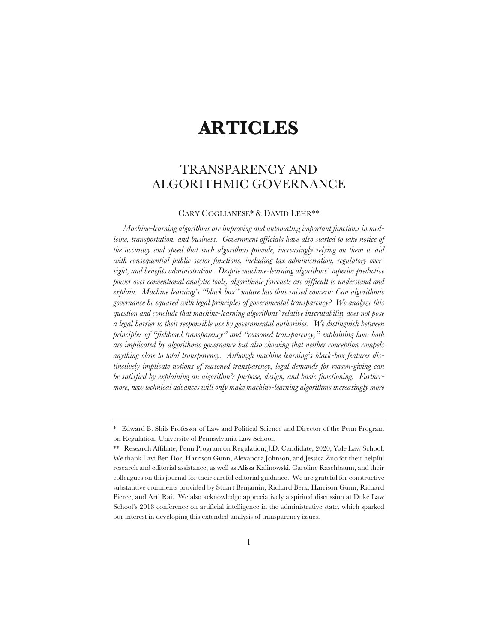# **ARTICLES**

# TRANSPARENCY AND ALGORITHMIC GOVERNANCE

# CARY COGLIANESE\*&DAVID LEHR\*\*

*Machine-learning algorithms are improving and automating important functions in medicine, transportation, and business. Government officials have also started to take notice of the accuracy and speed that such algorithms provide, increasingly relying on them to aid with consequential public-sector functions, including tax administration, regulatory oversight, and benefits administration. Despite machine-learning algorithms' superior predictive power over conventional analytic tools, algorithmic forecasts are difficult to understand and explain. Machine learning's "black box" nature has thus raised concern: Can algorithmic governance be squared with legal principles of governmental transparency? We analyze this question and conclude that machine-learning algorithms' relative inscrutability does not pose a legal barrier to their responsible use by governmental authorities. We distinguish between principles of "fishbowl transparency" and "reasoned transparency," explaining how both are implicated by algorithmic governance but also showing that neither conception compels anything close to total transparency. Although machine learning's black-box features distinctively implicate notions of reasoned transparency, legal demands for reason-giving can be satisfied by explaining an algorithm's purpose, design, and basic functioning. Furthermore, new technical advances will only make machine-learning algorithms increasingly more* 

<sup>\*</sup> Edward B. Shils Professor of Law and Political Science and Director of the Penn Program on Regulation, University of Pennsylvania Law School.

<sup>\*\*</sup> Research Affiliate, Penn Program on Regulation; J.D. Candidate, 2020, Yale Law School. We thank Lavi Ben Dor, Harrison Gunn, Alexandra Johnson, and Jessica Zuo for their helpful research and editorial assistance, as well as Alissa Kalinowski, Caroline Raschbaum, and their colleagues on this journal for their careful editorial guidance. We are grateful for constructive substantive comments provided by Stuart Benjamin, Richard Berk, Harrison Gunn, Richard Pierce, and Arti Rai. We also acknowledge appreciatively a spirited discussion at Duke Law School's 2018 conference on artificial intelligence in the administrative state, which sparked our interest in developing this extended analysis of transparency issues.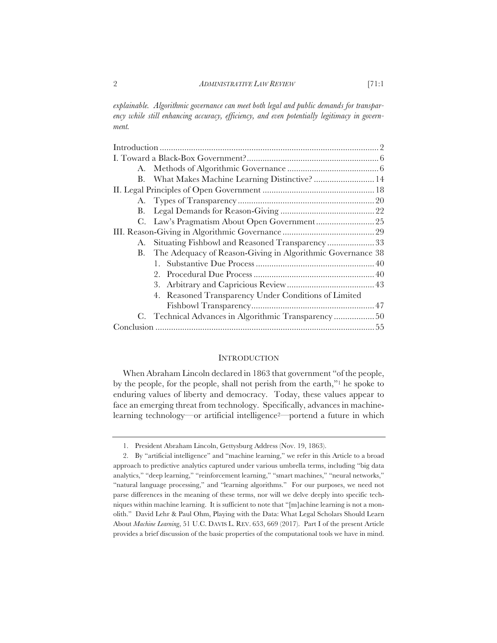*explainable. Algorithmic governance can meet both legal and public demands for transparency while still enhancing accuracy, efficiency, and even potentially legitimacy in government.* 

|  | B. What Makes Machine Learning Distinctive? 14                |  |
|--|---------------------------------------------------------------|--|
|  |                                                               |  |
|  |                                                               |  |
|  |                                                               |  |
|  |                                                               |  |
|  |                                                               |  |
|  | A. Situating Fishbowl and Reasoned Transparency33             |  |
|  | B. The Adequacy of Reason-Giving in Algorithmic Governance 38 |  |
|  |                                                               |  |
|  |                                                               |  |
|  | 3.                                                            |  |
|  | 4. Reasoned Transparency Under Conditions of Limited          |  |
|  |                                                               |  |
|  | C. Technical Advances in Algorithmic Transparency  50         |  |
|  |                                                               |  |
|  |                                                               |  |

# **INTRODUCTION**

When Abraham Lincoln declared in 1863 that government "of the people, by the people, for the people, shall not perish from the earth,"1 he spoke to enduring values of liberty and democracy. Today, these values appear to face an emerging threat from technology. Specifically, advances in machinelearning technology—or artificial intelligence2—portend a future in which

<sup>1.</sup> President Abraham Lincoln, Gettysburg Address (Nov. 19, 1863).

<sup>2.</sup> By "artificial intelligence" and "machine learning," we refer in this Article to a broad approach to predictive analytics captured under various umbrella terms, including "big data analytics," "deep learning," "reinforcement learning," "smart machines," "neural networks," "natural language processing," and "learning algorithms." For our purposes, we need not parse differences in the meaning of these terms, nor will we delve deeply into specific techniques within machine learning. It is sufficient to note that "[m]achine learning is not a monolith." David Lehr & Paul Ohm, Playing with the Data: What Legal Scholars Should Learn About *Machine Learning*, 51 U.C. DAVIS L. REV. 653, 669 (2017). Part I of the present Article provides a brief discussion of the basic properties of the computational tools we have in mind.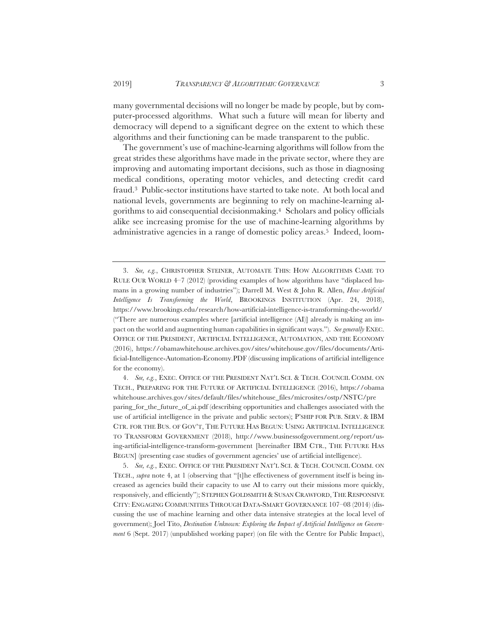many governmental decisions will no longer be made by people, but by computer-processed algorithms. What such a future will mean for liberty and democracy will depend to a significant degree on the extent to which these algorithms and their functioning can be made transparent to the public.

The government's use of machine-learning algorithms will follow from the great strides these algorithms have made in the private sector, where they are improving and automating important decisions, such as those in diagnosing medical conditions, operating motor vehicles, and detecting credit card fraud.3 Public-sector institutions have started to take note. At both local and national levels, governments are beginning to rely on machine-learning algorithms to aid consequential decisionmaking.4 Scholars and policy officials alike see increasing promise for the use of machine-learning algorithms by administrative agencies in a range of domestic policy areas.5 Indeed, loom-

4. *See, e.g.*, EXEC. OFFICE OF THE PRESIDENT NAT'L SCI.&TECH. COUNCIL COMM. ON TECH., PREPARING FOR THE FUTURE OF ARTIFICIAL INTELLIGENCE (2016), https://obama whitehouse.archives.gov/sites/default/files/whitehouse\_files/microsites/ostp/NSTC/pre paring\_for\_the\_future\_of\_ai.pdf (describing opportunities and challenges associated with the use of artificial intelligence in the private and public sectors); P'SHIP FOR PUB. SERV. & IBM CTR. FOR THE BUS. OF GOV'T, THE FUTURE HAS BEGUN: USING ARTIFICIAL INTELLIGENCE TO TRANSFORM GOVERNMENT (2018), http://www.businessofgovernment.org/report/using-artificial-intelligence-transform-government [hereinafter IBM CTR., THE FUTURE HAS BEGUN] (presenting case studies of government agencies' use of artificial intelligence).

5. See, e.g., EXEC. OFFICE OF THE PRESIDENT NAT'L SCI. & TECH. COUNCIL COMM. ON TECH., *supra* note 4, at 1 (observing that "[t]he effectiveness of government itself is being increased as agencies build their capacity to use AI to carry out their missions more quickly, responsively, and efficiently"); STEPHEN GOLDSMITH & SUSAN CRAWFORD, THE RESPONSIVE CITY: ENGAGING COMMUNITIES THROUGH DATA-SMART GOVERNANCE 107–08 (2014) (discussing the use of machine learning and other data intensive strategies at the local level of government); Joel Tito, *Destination Unknown: Exploring the Impact of Artificial Intelligence on Government* 6 (Sept. 2017) (unpublished working paper) (on file with the Centre for Public Impact),

<sup>3.</sup> *See, e.g.*, CHRISTOPHER STEINER, AUTOMATE THIS: HOW ALGORITHMS CAME TO RULE OUR WORLD 4–7 (2012) (providing examples of how algorithms have "displaced humans in a growing number of industries"); Darrell M. West & John R. Allen, *How Artificial Intelligence Is Transforming the World*, BROOKINGS INSTITUTION (Apr. 24, 2018), https://www.brookings.edu/research/how-artificial-intelligence-is-transforming-the-world/ ("There are numerous examples where [artificial intelligence (AI)] already is making an impact on the world and augmenting human capabilities in significant ways."). *See generally* EXEC. OFFICE OF THE PRESIDENT, ARTIFICIAL INTELLIGENCE, AUTOMATION, AND THE ECONOMY (2016), https://obamawhitehouse.archives.gov/sites/whitehouse.gov/files/documents/Artificial-Intelligence-Automation-Economy.PDF (discussing implications of artificial intelligence for the economy).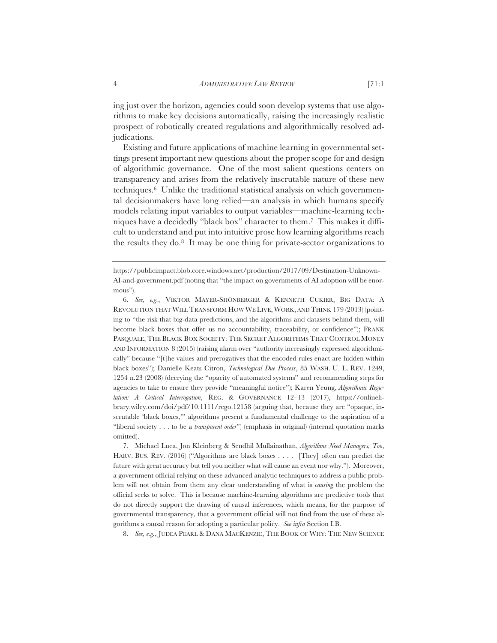rithms to make key decisions automatically, raising the increasingly realistic prospect of robotically created regulations and algorithmically resolved adjudications.

Existing and future applications of machine learning in governmental settings present important new questions about the proper scope for and design of algorithmic governance. One of the most salient questions centers on transparency and arises from the relatively inscrutable nature of these new techniques.6 Unlike the traditional statistical analysis on which governmental decisionmakers have long relied—an analysis in which humans specify models relating input variables to output variables—machine-learning techniques have a decidedly "black box" character to them.7 This makes it difficult to understand and put into intuitive prose how learning algorithms reach the results they do.8 It may be one thing for private-sector organizations to

8. *See, e.g.*, JUDEA PEARL & DANA MACKENZIE, THE BOOK OF WHY: THE NEW SCIENCE

https://publicimpact.blob.core.windows.net/production/2017/09/Destination-Unknown-AI-and-government.pdf (noting that "the impact on governments of AI adoption will be enormous").

<sup>6.</sup> *See, e.g.*, VIKTOR MAYER-SHÖNBERGER & KENNETH CUKIER, BIG DATA: A REVOLUTION THAT WILLTRANSFORM HOW WE LIVE, WORK, AND THINK 179 (2013) (pointing to "the risk that big-data predictions, and the algorithms and datasets behind them, will become black boxes that offer us no accountability, traceability, or confidence"); FRANK PASQUALE, THE BLACK BOX SOCIETY: THE SECRET ALGORITHMS THAT CONTROL MONEY AND INFORMATION 8 (2015) (raising alarm over "authority increasingly expressed algorithmically" because "[t]he values and prerogatives that the encoded rules enact are hidden within black boxes"); Danielle Keats Citron, *Technological Due Process*, 85 WASH. U. L. REV. 1249, 1254 n.23 (2008) (decrying the "opacity of automated systems" and recommending steps for agencies to take to ensure they provide "meaningful notice"); Karen Yeung, *Algorithmic Regulation: A Critical Interrogation*, REG.&GOVERNANCE 12–13 (2017), https://onlinelibrary.wiley.com/doi/pdf/10.1111/rego.12158 (arguing that, because they are "opaque, inscrutable 'black boxes,'" algorithms present a fundamental challenge to the aspiration of a "liberal society . . . to be a *transparent order*") (emphasis in original) (internal quotation marks omitted).

<sup>7.</sup> Michael Luca, Jon Kleinberg & Sendhil Mullainathan, *Algorithms Need Managers, Too*, HARV. BUS. REV. (2016) ("Algorithms are black boxes . . . . [They] often can predict the future with great accuracy but tell you neither what will cause an event nor why."). Moreover, a government official relying on these advanced analytic techniques to address a public problem will not obtain from them any clear understanding of what is *causing* the problem the official seeks to solve. This is because machine-learning algorithms are predictive tools that do not directly support the drawing of causal inferences, which means, for the purpose of governmental transparency, that a government official will not find from the use of these algorithms a causal reason for adopting a particular policy. *See infra* Section I.B.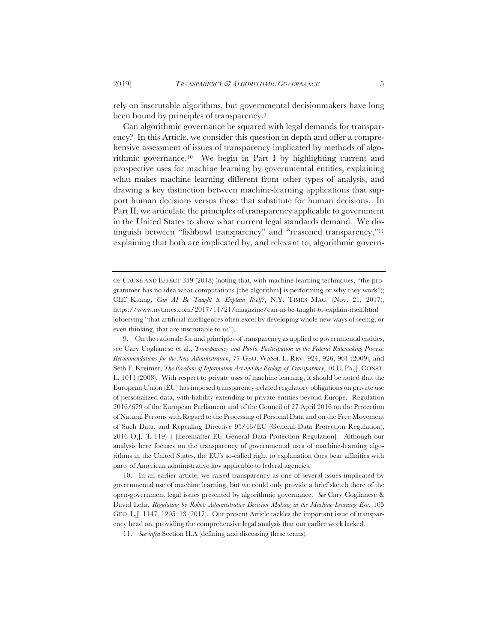rely on inscrutable algorithms, but governmental decisionmakers have long been bound by principles of transparency.9

Can algorithmic governance be squared with legal demands for transparency? In this Article, we consider this question in depth and offer a comprehensive assessment of issues of transparency implicated by methods of algorithmic governance.10 We begin in Part I by highlighting current and prospective uses for machine learning by governmental entities, explaining what makes machine learning different from other types of analysis, and drawing a key distinction between machine-learning applications that support human decisions versus those that substitute for human decisions. In Part II, we articulate the principles of transparency applicable to government in the United States to show what current legal standards demand. We distinguish between "fishbowl transparency" and "reasoned transparency,"11 explaining that both are implicated by, and relevant to, algorithmic govern-

10. In an earlier article, we raised transparency as one of several issues implicated by governmental use of machine learning, but we could only provide a brief sketch there of the open-government legal issues presented by algorithmic governance. *See* Cary Coglianese & David Lehr, *Regulating by Robot: Administrative Decision Making in the Machine-Learning Era*, 105 GEO. L.J. 1147, 1205–13 (2017). Our present Article tackles the important issue of transparency head on, providing the comprehensive legal analysis that our earlier work lacked.

OF CAUSE AND EFFECT 359 (2018) (noting that, with machine-learning techniques, "the programmer has no idea what computations [the algorithm] is performing or why they work"); Cliff Kuang, *Can AI Be Taught to Explain Itself?*, N.Y. TIMES MAG. (Nov. 21, 2017), https://www.nytimes.com/2017/11/21/magazine/can-ai-be-taught-to-explain-itself.html (observing "that artificial intelligences often excel by developing whole new ways of seeing, or even thinking, that are inscrutable to us").

<sup>9.</sup> On the rationale for and principles of transparency as applied to governmental entities, see Cary Coglianese et al., *Transparency and Public Participation in the Federal Rulemaking Process: Recommendations for the New Administration*, 77 GEO. WASH. L. REV. 924, 926, 961 (2009), and Seth F. Kreimer, *The Freedom of Information Act and the Ecology of Transparency*, 10 U. PA. J. CONST. L. 1011 (2008). With respect to private uses of machine learning, it should be noted that the European Union (EU) has imposed transparency-related regulatory obligations on private use of personalized data, with liability extending to private entities beyond Europe. Regulation 2016/679 of the European Parliament and of the Council of 27 April 2016 on the Protection of Natural Persons with Regard to the Processing of Personal Data and on the Free Movement of Such Data, and Repealing Directive 95/46/EC (General Data Protection Regulation), 2016 O.J. (L 119) 1 [hereinafter EU General Data Protection Regulation]. Although our analysis here focuses on the transparency of governmental uses of machine-learning algorithms in the United States, the EU's so-called right to explanation does bear affinities with parts of American administrative law applicable to federal agencies.

<sup>11.</sup> *See infra* Section II.A (defining and discussing these terms).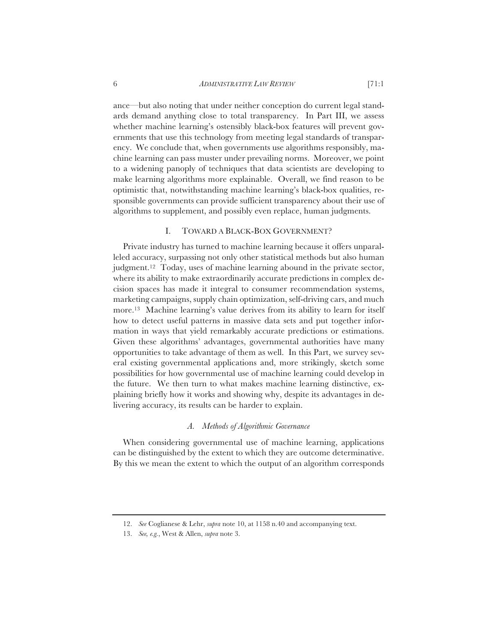ance—but also noting that under neither conception do current legal standards demand anything close to total transparency. In Part III, we assess whether machine learning's ostensibly black-box features will prevent governments that use this technology from meeting legal standards of transparency. We conclude that, when governments use algorithms responsibly, machine learning can pass muster under prevailing norms. Moreover, we point to a widening panoply of techniques that data scientists are developing to make learning algorithms more explainable. Overall, we find reason to be optimistic that, notwithstanding machine learning's black-box qualities, responsible governments can provide sufficient transparency about their use of algorithms to supplement, and possibly even replace, human judgments.

#### I. TOWARD A BLACK-BOX GOVERNMENT?

Private industry has turned to machine learning because it offers unparalleled accuracy, surpassing not only other statistical methods but also human judgment.12 Today, uses of machine learning abound in the private sector, where its ability to make extraordinarily accurate predictions in complex decision spaces has made it integral to consumer recommendation systems, marketing campaigns, supply chain optimization, self-driving cars, and much more.13 Machine learning's value derives from its ability to learn for itself how to detect useful patterns in massive data sets and put together information in ways that yield remarkably accurate predictions or estimations. Given these algorithms' advantages, governmental authorities have many opportunities to take advantage of them as well. In this Part, we survey several existing governmental applications and, more strikingly, sketch some possibilities for how governmental use of machine learning could develop in the future. We then turn to what makes machine learning distinctive, explaining briefly how it works and showing why, despite its advantages in delivering accuracy, its results can be harder to explain.

#### *A. Methods of Algorithmic Governance*

When considering governmental use of machine learning, applications can be distinguished by the extent to which they are outcome determinative. By this we mean the extent to which the output of an algorithm corresponds

<sup>12.</sup> *See* Coglianese & Lehr, *supra* note 10, at 1158 n.40 and accompanying text.

<sup>13.</sup> *See, e.g.*, West & Allen, *supra* note 3.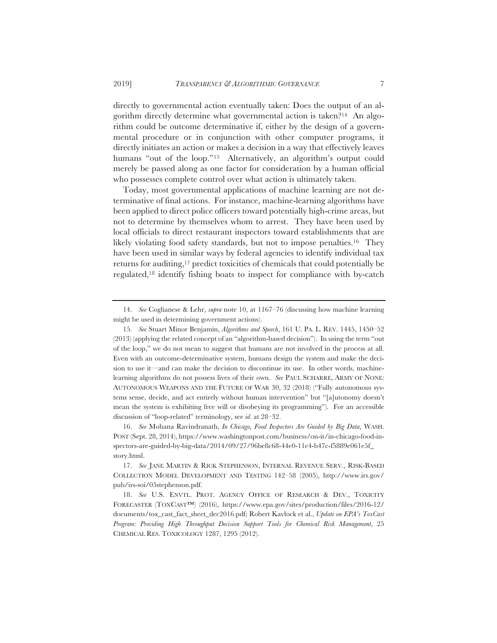directly to governmental action eventually taken: Does the output of an algorithm directly determine what governmental action is taken?14 An algorithm could be outcome determinative if, either by the design of a governmental procedure or in conjunction with other computer programs, it directly initiates an action or makes a decision in a way that effectively leaves humans "out of the loop."<sup>15</sup> Alternatively, an algorithm's output could merely be passed along as one factor for consideration by a human official who possesses complete control over what action is ultimately taken.

Today, most governmental applications of machine learning are not determinative of final actions. For instance, machine-learning algorithms have been applied to direct police officers toward potentially high-crime areas, but not to determine by themselves whom to arrest. They have been used by local officials to direct restaurant inspectors toward establishments that are likely violating food safety standards, but not to impose penalties.16 They have been used in similar ways by federal agencies to identify individual tax returns for auditing,17 predict toxicities of chemicals that could potentially be regulated,18 identify fishing boats to inspect for compliance with by-catch

16. *See* Mohana Ravindranath, *In Chicago, Food Inspectors Are Guided by Big Data*, WASH. POST (Sept. 28, 2014), https://www.washingtonpost.com/business/on-it/in-chicago-food-inspectors-are-guided-by-big-data/2014/09/27/96be8c68-44e0-11e4-b47c-f5889e061e5f\_ story.html.

<sup>14.</sup> *See* Coglianese & Lehr, *supra* note 10, at 1167–76 (discussing how machine learning might be used in determining government actions).

<sup>15.</sup> *See* Stuart Minor Benjamin, *Algorithms and Speech*, 161 U. PA. L. REV. 1445, 1450–52 (2013) (applying the related concept of an "algorithm-based decision"). In using the term "out of the loop," we do not mean to suggest that humans are not involved in the process at all. Even with an outcome-determinative system, humans design the system and make the decision to use it—and can make the decision to discontinue its use. In other words, machinelearning algorithms do not possess lives of their own. *See* PAUL SCHARRE, ARMY OF NONE: AUTONOMOUS WEAPONS AND THE FUTURE OF WAR 30, 32 (2018) ("Fully autonomous systems sense, decide, and act entirely without human intervention" but "[a]utonomy doesn't mean the system is exhibiting free will or disobeying its programming"). For an accessible discussion of "loop-related" terminology, see *id.* at 28–32.

<sup>17.</sup> *See* JANE MARTIN & RICK STEPHENSON, INTERNAL REVENUE SERV., RISK-BASED COLLECTION MODEL DEVELOPMENT AND TESTING 142–58 (2005), http://www.irs.gov/ pub/irs-soi/05stephenson.pdf.

<sup>18.</sup> *See* U.S. ENVTL. PROT. AGENCY OFFICE OF RESEARCH & DEV., TOXICITY FORECASTER (TOXCAST™) (2016), https://www.epa.gov/sites/production/files/2016-12/ documents/tox\_cast\_fact\_sheet\_dec2016.pdf; Robert Kavlock et al., *Update on EPA's ToxCast Program: Providing High Throughput Decision Support Tools for Chemical Risk Management*, 25 CHEMICAL RES. TOXICOLOGY 1287, 1295 (2012).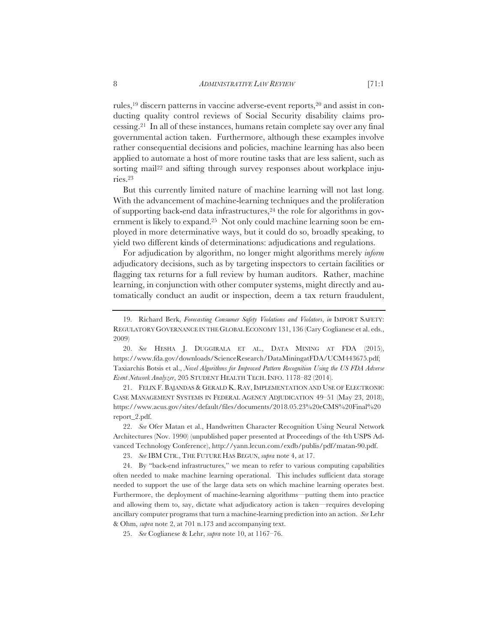rules,19 discern patterns in vaccine adverse-event reports,20 and assist in conducting quality control reviews of Social Security disability claims processing.21 In all of these instances, humans retain complete say over any final governmental action taken. Furthermore, although these examples involve rather consequential decisions and policies, machine learning has also been applied to automate a host of more routine tasks that are less salient, such as sorting mail<sup>22</sup> and sifting through survey responses about workplace injuries.23

But this currently limited nature of machine learning will not last long. With the advancement of machine-learning techniques and the proliferation of supporting back-end data infrastructures,24 the role for algorithms in government is likely to expand.25 Not only could machine learning soon be employed in more determinative ways, but it could do so, broadly speaking, to yield two different kinds of determinations: adjudications and regulations.

For adjudication by algorithm, no longer might algorithms merely *inform* adjudicatory decisions, such as by targeting inspectors to certain facilities or flagging tax returns for a full review by human auditors. Rather, machine learning, in conjunction with other computer systems, might directly and automatically conduct an audit or inspection, deem a tax return fraudulent,

21. FELIX F. BAJANDAS & GERALD K. RAY, IMPLEMENTATION AND USE OF ELECTRONIC CASE MANAGEMENT SYSTEMS IN FEDERAL AGENCY ADJUDICATION 49–51 (May 23, 2018), https://www.acus.gov/sites/default/files/documents/2018.05.23%20eCMS%20Final%20 report\_2.pdf.

22. *See* Ofer Matan et al., Handwritten Character Recognition Using Neural Network Architectures (Nov. 1990) (unpublished paper presented at Proceedings of the 4th USPS Advanced Technology Conference), http://yann.lecun.com/exdb/publis/pdf/matan-90.pdf.

<sup>19.</sup> Richard Berk, *Forecasting Consumer Safety Violations and Violators*, *in* IMPORT SAFETY: REGULATORY GOVERNANCE IN THE GLOBAL ECONOMY 131, 136 (Cary Coglianese et al. eds., 2009)

<sup>20.</sup> *See* HESHA J. DUGGIRALA ET AL., DATA MINING AT FDA (2015), https://www.fda.gov/downloads/ScienceResearch/DataMiningatFDA/UCM443675.pdf; Taxiarchis Botsis et al., *Novel Algorithms for Improved Pattern Recognition Using the US FDA Adverse Event Network Analyzer*, 205 STUDENT HEALTH TECH. INFO. 1178–82 (2014).

<sup>23.</sup> *See* IBM CTR., THE FUTURE HAS BEGUN, *supra* note 4, at 17.

<sup>24.</sup> By "back-end infrastructures," we mean to refer to various computing capabilities often needed to make machine learning operational. This includes sufficient data storage needed to support the use of the large data sets on which machine learning operates best. Furthermore, the deployment of machine-learning algorithms—putting them into practice and allowing them to, say, dictate what adjudicatory action is taken—requires developing ancillary computer programs that turn a machine-learning prediction into an action. *See* Lehr & Ohm, *supra* note 2, at 701 n.173 and accompanying text.

<sup>25.</sup> *See* Coglianese & Lehr, *supra* note 10, at 1167–76.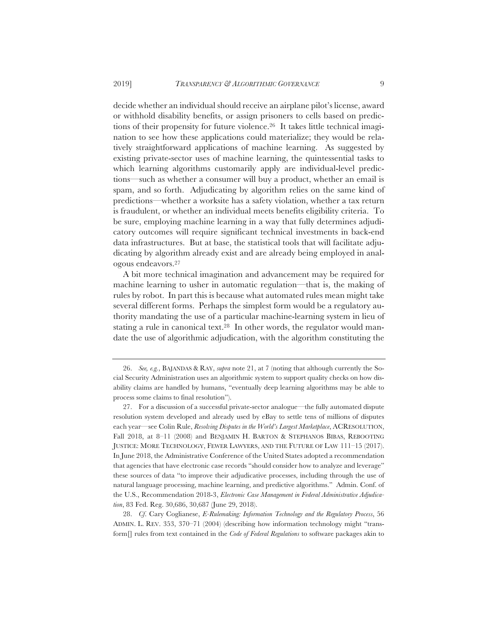decide whether an individual should receive an airplane pilot's license, award or withhold disability benefits, or assign prisoners to cells based on predictions of their propensity for future violence.26 It takes little technical imagination to see how these applications could materialize; they would be relatively straightforward applications of machine learning. As suggested by existing private-sector uses of machine learning, the quintessential tasks to which learning algorithms customarily apply are individual-level predictions—such as whether a consumer will buy a product, whether an email is spam, and so forth. Adjudicating by algorithm relies on the same kind of predictions—whether a worksite has a safety violation, whether a tax return is fraudulent, or whether an individual meets benefits eligibility criteria. To be sure, employing machine learning in a way that fully determines adjudicatory outcomes will require significant technical investments in back-end data infrastructures. But at base, the statistical tools that will facilitate adjudicating by algorithm already exist and are already being employed in analogous endeavors.27

A bit more technical imagination and advancement may be required for machine learning to usher in automatic regulation—that is, the making of rules by robot. In part this is because what automated rules mean might take several different forms. Perhaps the simplest form would be a regulatory authority mandating the use of a particular machine-learning system in lieu of stating a rule in canonical text.28 In other words, the regulator would mandate the use of algorithmic adjudication, with the algorithm constituting the

28. *Cf*. Cary Coglianese, *E-Rulemaking: Information Technology and the Regulatory Process*, 56 ADMIN. L. REV. 353, 370–71 (2004) (describing how information technology might "transform[] rules from text contained in the *Code of Federal Regulations* to software packages akin to

<sup>26.</sup> *See, e.g.*, BAJANDAS & RAY, *supra* note 21, at 7 (noting that although currently the Social Security Administration uses an algorithmic system to support quality checks on how disability claims are handled by humans, "eventually deep learning algorithms may be able to process some claims to final resolution").

<sup>27.</sup> For a discussion of a successful private-sector analogue—the fully automated dispute resolution system developed and already used by eBay to settle tens of millions of disputes each year—see Colin Rule, *Resolving Disputes in the World's Largest Marketplace*, ACRESOLUTION, Fall 2018, at 8–11 (2008) and BENJAMIN H. BARTON & STEPHANOS BIBAS, REBOOTING JUSTICE: MORE TECHNOLOGY, FEWER LAWYERS, AND THE FUTURE OF LAW 111–15 (2017). In June 2018, the Administrative Conference of the United States adopted a recommendation that agencies that have electronic case records "should consider how to analyze and leverage" these sources of data "to improve their adjudicative processes, including through the use of natural language processing, machine learning, and predictive algorithms." Admin. Conf. of the U.S., Recommendation 2018-3, *Electronic Case Management in Federal Administrative Adjudication*, 83 Fed. Reg. 30,686, 30,687 (June 29, 2018).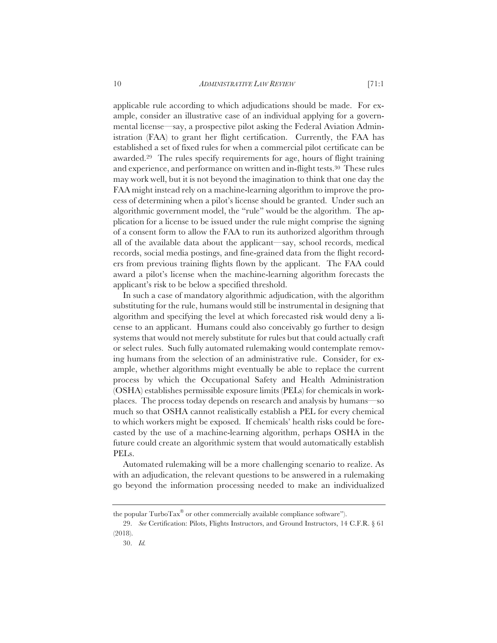applicable rule according to which adjudications should be made. For example, consider an illustrative case of an individual applying for a governmental license—say, a prospective pilot asking the Federal Aviation Administration (FAA) to grant her flight certification. Currently, the FAA has established a set of fixed rules for when a commercial pilot certificate can be awarded.29 The rules specify requirements for age, hours of flight training and experience, and performance on written and in-flight tests.30 These rules may work well, but it is not beyond the imagination to think that one day the FAA might instead rely on a machine-learning algorithm to improve the process of determining when a pilot's license should be granted. Under such an algorithmic government model, the "rule" would be the algorithm. The application for a license to be issued under the rule might comprise the signing of a consent form to allow the FAA to run its authorized algorithm through all of the available data about the applicant—say, school records, medical records, social media postings, and fine-grained data from the flight recorders from previous training flights flown by the applicant. The FAA could award a pilot's license when the machine-learning algorithm forecasts the applicant's risk to be below a specified threshold.

In such a case of mandatory algorithmic adjudication, with the algorithm substituting for the rule, humans would still be instrumental in designing that algorithm and specifying the level at which forecasted risk would deny a license to an applicant. Humans could also conceivably go further to design systems that would not merely substitute for rules but that could actually craft or select rules. Such fully automated rulemaking would contemplate removing humans from the selection of an administrative rule. Consider, for example, whether algorithms might eventually be able to replace the current process by which the Occupational Safety and Health Administration (OSHA) establishes permissible exposure limits (PELs) for chemicals in workplaces. The process today depends on research and analysis by humans—so much so that OSHA cannot realistically establish a PEL for every chemical to which workers might be exposed. If chemicals' health risks could be forecasted by the use of a machine-learning algorithm, perhaps OSHA in the future could create an algorithmic system that would automatically establish PELs.

Automated rulemaking will be a more challenging scenario to realize. As with an adjudication, the relevant questions to be answered in a rulemaking go beyond the information processing needed to make an individualized

the popular TurboTax® or other commercially available compliance software").

<sup>29.</sup> *See* Certification: Pilots, Flights Instructors, and Ground Instructors, 14 C.F.R. § 61 (2018).

<sup>30.</sup> *Id.*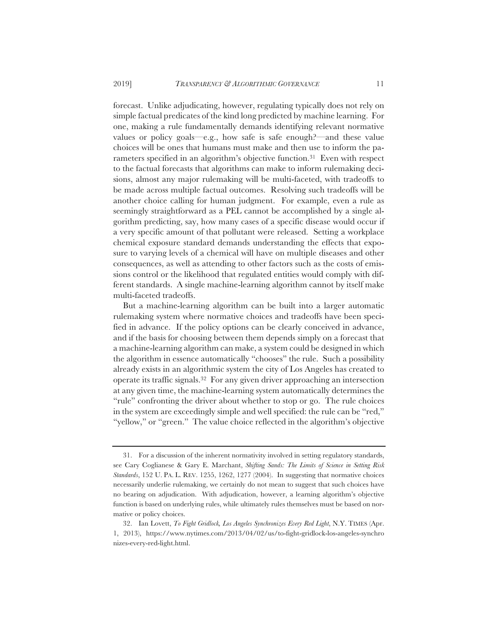forecast. Unlike adjudicating, however, regulating typically does not rely on simple factual predicates of the kind long predicted by machine learning. For one, making a rule fundamentally demands identifying relevant normative values or policy goals—e.g., how safe is safe enough?—and these value choices will be ones that humans must make and then use to inform the parameters specified in an algorithm's objective function.31 Even with respect to the factual forecasts that algorithms can make to inform rulemaking decisions, almost any major rulemaking will be multi-faceted, with tradeoffs to be made across multiple factual outcomes. Resolving such tradeoffs will be another choice calling for human judgment. For example, even a rule as seemingly straightforward as a PEL cannot be accomplished by a single algorithm predicting, say, how many cases of a specific disease would occur if a very specific amount of that pollutant were released. Setting a workplace chemical exposure standard demands understanding the effects that exposure to varying levels of a chemical will have on multiple diseases and other consequences, as well as attending to other factors such as the costs of emissions control or the likelihood that regulated entities would comply with different standards. A single machine-learning algorithm cannot by itself make multi-faceted tradeoffs.

But a machine-learning algorithm can be built into a larger automatic rulemaking system where normative choices and tradeoffs have been specified in advance. If the policy options can be clearly conceived in advance, and if the basis for choosing between them depends simply on a forecast that a machine-learning algorithm can make, a system could be designed in which the algorithm in essence automatically "chooses" the rule. Such a possibility already exists in an algorithmic system the city of Los Angeles has created to operate its traffic signals.32 For any given driver approaching an intersection at any given time, the machine-learning system automatically determines the "rule" confronting the driver about whether to stop or go. The rule choices in the system are exceedingly simple and well specified: the rule can be "red," "yellow," or "green." The value choice reflected in the algorithm's objective

<sup>31.</sup> For a discussion of the inherent normativity involved in setting regulatory standards, see Cary Coglianese & Gary E. Marchant, *Shifting Sands: The Limits of Science in Setting Risk Standards*, 152 U. PA. L. REV. 1255, 1262, 1277 (2004). In suggesting that normative choices necessarily underlie rulemaking, we certainly do not mean to suggest that such choices have no bearing on adjudication. With adjudication, however, a learning algorithm's objective function is based on underlying rules, while ultimately rules themselves must be based on normative or policy choices.

<sup>32.</sup> Ian Lovett, *To Fight Gridlock, Los Angeles Synchronizes Every Red Light*, N.Y. TIMES (Apr. 1, 2013), https://www.nytimes.com/2013/04/02/us/to-fight-gridlock-los-angeles-synchro nizes-every-red-light.html.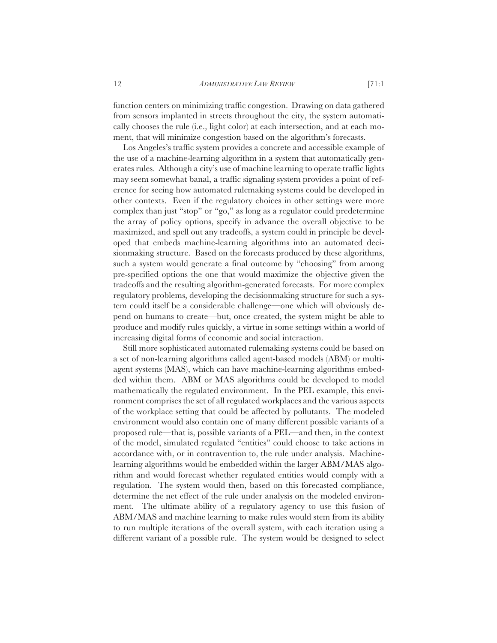function centers on minimizing traffic congestion. Drawing on data gathered from sensors implanted in streets throughout the city, the system automatically chooses the rule (i.e., light color) at each intersection, and at each moment, that will minimize congestion based on the algorithm's forecasts.

Los Angeles's traffic system provides a concrete and accessible example of the use of a machine-learning algorithm in a system that automatically generates rules. Although a city's use of machine learning to operate traffic lights may seem somewhat banal, a traffic signaling system provides a point of reference for seeing how automated rulemaking systems could be developed in other contexts. Even if the regulatory choices in other settings were more complex than just "stop" or "go," as long as a regulator could predetermine the array of policy options, specify in advance the overall objective to be maximized, and spell out any tradeoffs, a system could in principle be developed that embeds machine-learning algorithms into an automated decisionmaking structure. Based on the forecasts produced by these algorithms, such a system would generate a final outcome by "choosing" from among pre-specified options the one that would maximize the objective given the tradeoffs and the resulting algorithm-generated forecasts. For more complex regulatory problems, developing the decisionmaking structure for such a system could itself be a considerable challenge—one which will obviously depend on humans to create—but, once created, the system might be able to produce and modify rules quickly, a virtue in some settings within a world of increasing digital forms of economic and social interaction.

Still more sophisticated automated rulemaking systems could be based on a set of non-learning algorithms called agent-based models (ABM) or multiagent systems (MAS), which can have machine-learning algorithms embedded within them. ABM or MAS algorithms could be developed to model mathematically the regulated environment. In the PEL example, this environment comprises the set of all regulated workplaces and the various aspects of the workplace setting that could be affected by pollutants. The modeled environment would also contain one of many different possible variants of a proposed rule—that is, possible variants of a PEL—and then, in the context of the model, simulated regulated "entities" could choose to take actions in accordance with, or in contravention to, the rule under analysis. Machinelearning algorithms would be embedded within the larger ABM/MAS algorithm and would forecast whether regulated entities would comply with a regulation. The system would then, based on this forecasted compliance, determine the net effect of the rule under analysis on the modeled environment. The ultimate ability of a regulatory agency to use this fusion of ABM/MAS and machine learning to make rules would stem from its ability to run multiple iterations of the overall system, with each iteration using a different variant of a possible rule. The system would be designed to select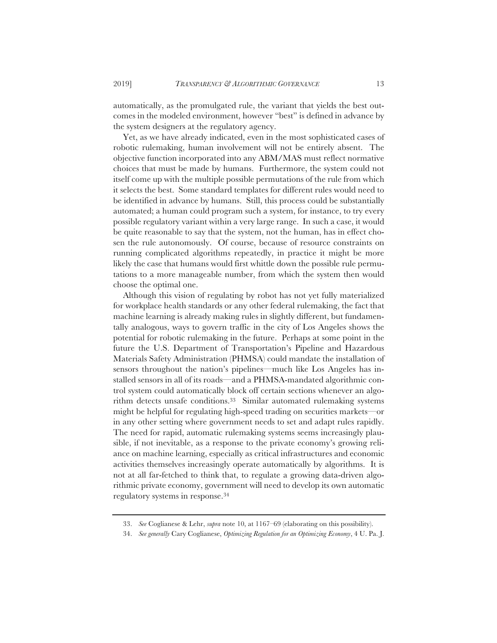automatically, as the promulgated rule, the variant that yields the best outcomes in the modeled environment, however "best" is defined in advance by the system designers at the regulatory agency.

Yet, as we have already indicated, even in the most sophisticated cases of robotic rulemaking, human involvement will not be entirely absent. The objective function incorporated into any ABM/MAS must reflect normative choices that must be made by humans. Furthermore, the system could not itself come up with the multiple possible permutations of the rule from which it selects the best. Some standard templates for different rules would need to be identified in advance by humans. Still, this process could be substantially automated; a human could program such a system, for instance, to try every possible regulatory variant within a very large range. In such a case, it would be quite reasonable to say that the system, not the human, has in effect chosen the rule autonomously. Of course, because of resource constraints on running complicated algorithms repeatedly, in practice it might be more likely the case that humans would first whittle down the possible rule permutations to a more manageable number, from which the system then would choose the optimal one.

Although this vision of regulating by robot has not yet fully materialized for workplace health standards or any other federal rulemaking, the fact that machine learning is already making rules in slightly different, but fundamentally analogous, ways to govern traffic in the city of Los Angeles shows the potential for robotic rulemaking in the future. Perhaps at some point in the future the U.S. Department of Transportation's Pipeline and Hazardous Materials Safety Administration (PHMSA) could mandate the installation of sensors throughout the nation's pipelines—much like Los Angeles has installed sensors in all of its roads—and a PHMSA-mandated algorithmic control system could automatically block off certain sections whenever an algorithm detects unsafe conditions.33 Similar automated rulemaking systems might be helpful for regulating high-speed trading on securities markets—or in any other setting where government needs to set and adapt rules rapidly. The need for rapid, automatic rulemaking systems seems increasingly plausible, if not inevitable, as a response to the private economy's growing reliance on machine learning, especially as critical infrastructures and economic activities themselves increasingly operate automatically by algorithms. It is not at all far-fetched to think that, to regulate a growing data-driven algorithmic private economy, government will need to develop its own automatic regulatory systems in response.34

<sup>33.</sup> *See* Coglianese & Lehr, *supra* note 10, at 1167–69 (elaborating on this possibility).

<sup>34.</sup> *See generally* Cary Coglianese, *Optimizing Regulation for an Optimizing Economy*, 4 U. Pa. J.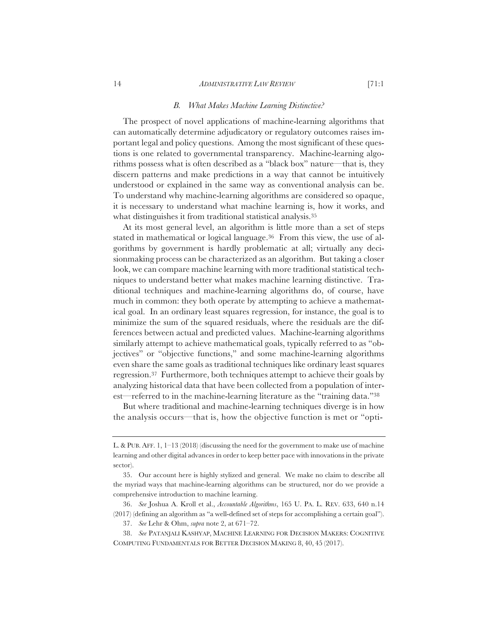#### 14 *ADMINISTRATIVE LAW REVIEW* [71:1

#### *B. What Makes Machine Learning Distinctive?*

The prospect of novel applications of machine-learning algorithms that can automatically determine adjudicatory or regulatory outcomes raises important legal and policy questions. Among the most significant of these questions is one related to governmental transparency. Machine-learning algorithms possess what is often described as a "black box" nature—that is, they discern patterns and make predictions in a way that cannot be intuitively understood or explained in the same way as conventional analysis can be. To understand why machine-learning algorithms are considered so opaque, it is necessary to understand what machine learning is, how it works, and what distinguishes it from traditional statistical analysis.<sup>35</sup>

At its most general level, an algorithm is little more than a set of steps stated in mathematical or logical language.36 From this view, the use of algorithms by government is hardly problematic at all; virtually any decisionmaking process can be characterized as an algorithm. But taking a closer look, we can compare machine learning with more traditional statistical techniques to understand better what makes machine learning distinctive. Traditional techniques and machine-learning algorithms do, of course, have much in common: they both operate by attempting to achieve a mathematical goal. In an ordinary least squares regression, for instance, the goal is to minimize the sum of the squared residuals, where the residuals are the differences between actual and predicted values. Machine-learning algorithms similarly attempt to achieve mathematical goals, typically referred to as "objectives" or "objective functions," and some machine-learning algorithms even share the same goals as traditional techniques like ordinary least squares regression.37 Furthermore, both techniques attempt to achieve their goals by analyzing historical data that have been collected from a population of interest—referred to in the machine-learning literature as the "training data."38

But where traditional and machine-learning techniques diverge is in how the analysis occurs—that is, how the objective function is met or "opti-

L. & PUB. AFF. 1, 1–13 (2018) (discussing the need for the government to make use of machine learning and other digital advances in order to keep better pace with innovations in the private sector).

<sup>35.</sup> Our account here is highly stylized and general. We make no claim to describe all the myriad ways that machine-learning algorithms can be structured, nor do we provide a comprehensive introduction to machine learning.

<sup>36.</sup> *See* Joshua A. Kroll et al., *Accountable Algorithms*, 165 U. PA. L. REV. 633, 640 n.14 (2017) (defining an algorithm as "a well-defined set of steps for accomplishing a certain goal").

<sup>37.</sup> *See* Lehr & Ohm, *supra* note 2, at 671–72.

<sup>38.</sup> *See* PATANJALI KASHYAP, MACHINE LEARNING FOR DECISION MAKERS: COGNITIVE COMPUTING FUNDAMENTALS FOR BETTER DECISION MAKING 8, 40, 45 (2017).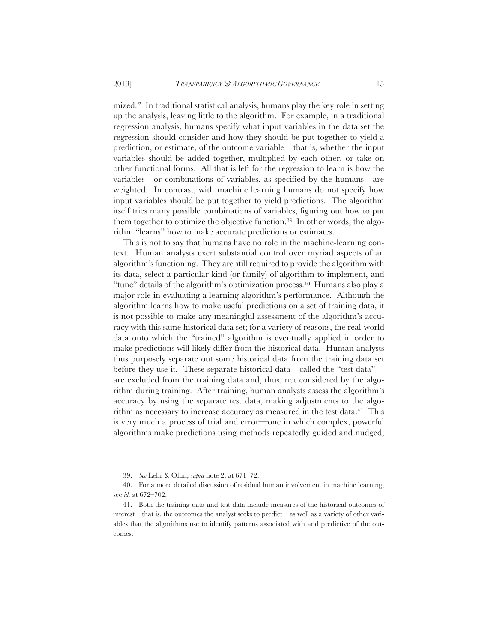mized." In traditional statistical analysis, humans play the key role in setting up the analysis, leaving little to the algorithm. For example, in a traditional regression analysis, humans specify what input variables in the data set the regression should consider and how they should be put together to yield a prediction, or estimate, of the outcome variable—that is, whether the input variables should be added together, multiplied by each other, or take on other functional forms. All that is left for the regression to learn is how the variables—or combinations of variables, as specified by the humans—are weighted. In contrast, with machine learning humans do not specify how input variables should be put together to yield predictions. The algorithm itself tries many possible combinations of variables, figuring out how to put them together to optimize the objective function.39 In other words, the algorithm "learns" how to make accurate predictions or estimates.

This is not to say that humans have no role in the machine-learning context. Human analysts exert substantial control over myriad aspects of an algorithm's functioning. They are still required to provide the algorithm with its data, select a particular kind (or family) of algorithm to implement, and "tune" details of the algorithm's optimization process.40 Humans also play a major role in evaluating a learning algorithm's performance. Although the algorithm learns how to make useful predictions on a set of training data, it is not possible to make any meaningful assessment of the algorithm's accuracy with this same historical data set; for a variety of reasons, the real-world data onto which the "trained" algorithm is eventually applied in order to make predictions will likely differ from the historical data. Human analysts thus purposely separate out some historical data from the training data set before they use it. These separate historical data—called the "test data" are excluded from the training data and, thus, not considered by the algorithm during training. After training, human analysts assess the algorithm's accuracy by using the separate test data, making adjustments to the algorithm as necessary to increase accuracy as measured in the test data.<sup>41</sup> This is very much a process of trial and error—one in which complex, powerful algorithms make predictions using methods repeatedly guided and nudged,

<sup>39.</sup> *See* Lehr & Ohm, *supra* note 2, at 671–72.

<sup>40.</sup> For a more detailed discussion of residual human involvement in machine learning, see *id.* at 672–702.

<sup>41.</sup> Both the training data and test data include measures of the historical outcomes of interest—that is, the outcomes the analyst seeks to predict—as well as a variety of other variables that the algorithms use to identify patterns associated with and predictive of the outcomes.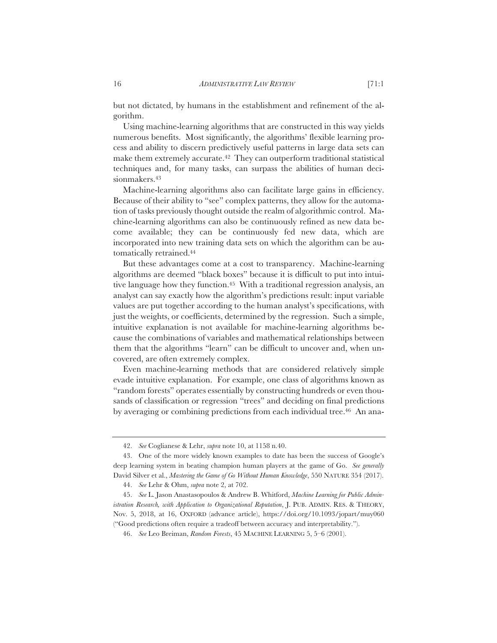but not dictated, by humans in the establishment and refinement of the algorithm.

Using machine-learning algorithms that are constructed in this way yields numerous benefits. Most significantly, the algorithms' flexible learning process and ability to discern predictively useful patterns in large data sets can make them extremely accurate.<sup>42</sup> They can outperform traditional statistical techniques and, for many tasks, can surpass the abilities of human decisionmakers.43

Machine-learning algorithms also can facilitate large gains in efficiency. Because of their ability to "see" complex patterns, they allow for the automation of tasks previously thought outside the realm of algorithmic control. Machine-learning algorithms can also be continuously refined as new data become available; they can be continuously fed new data, which are incorporated into new training data sets on which the algorithm can be automatically retrained.44

But these advantages come at a cost to transparency. Machine-learning algorithms are deemed "black boxes" because it is difficult to put into intuitive language how they function.45 With a traditional regression analysis, an analyst can say exactly how the algorithm's predictions result: input variable values are put together according to the human analyst's specifications, with just the weights, or coefficients, determined by the regression. Such a simple, intuitive explanation is not available for machine-learning algorithms because the combinations of variables and mathematical relationships between them that the algorithms "learn" can be difficult to uncover and, when uncovered, are often extremely complex.

Even machine-learning methods that are considered relatively simple evade intuitive explanation. For example, one class of algorithms known as "random forests" operates essentially by constructing hundreds or even thousands of classification or regression "trees" and deciding on final predictions by averaging or combining predictions from each individual tree.<sup>46</sup> An ana-

<sup>42.</sup> *See* Coglianese & Lehr, *supra* note 10, at 1158 n.40.

<sup>43.</sup> One of the more widely known examples to date has been the success of Google's deep learning system in beating champion human players at the game of Go. *See generally*  David Silver et al., *Mastering the Game of Go Without Human Knowledge*, 550 NATURE 354 (2017).

<sup>44.</sup> *See* Lehr & Ohm, *supra* note 2, at 702.

<sup>45.</sup> *See* L. Jason Anastasopoulos & Andrew B. Whitford, *Machine Learning for Public Administration Research, with Application to Organizational Reputation*, J. PUB. ADMIN. RES.&THEORY, Nov. 5, 2018, at 16, OXFORD (advance article), https://doi.org/10.1093/jopart/muy060 ("Good predictions often require a tradeoff between accuracy and interpretability.").

<sup>46.</sup> *See* Leo Breiman, *Random Forests*, 45 MACHINE LEARNING 5, 5–6 (2001).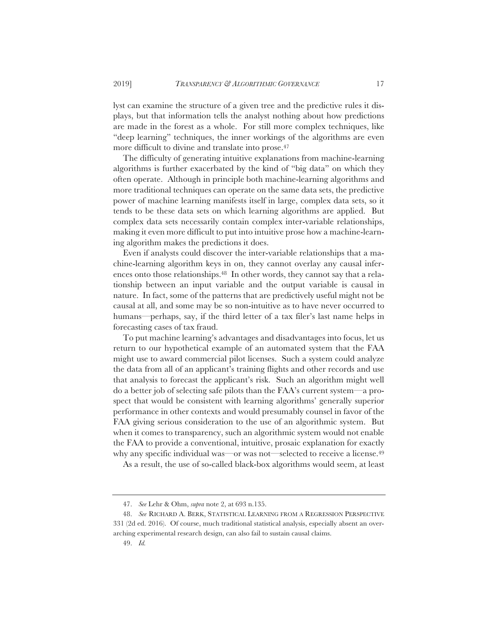lyst can examine the structure of a given tree and the predictive rules it displays, but that information tells the analyst nothing about how predictions are made in the forest as a whole. For still more complex techniques, like "deep learning" techniques, the inner workings of the algorithms are even more difficult to divine and translate into prose.47

The difficulty of generating intuitive explanations from machine-learning algorithms is further exacerbated by the kind of "big data" on which they often operate. Although in principle both machine-learning algorithms and more traditional techniques can operate on the same data sets, the predictive power of machine learning manifests itself in large, complex data sets, so it tends to be these data sets on which learning algorithms are applied. But complex data sets necessarily contain complex inter-variable relationships, making it even more difficult to put into intuitive prose how a machine-learning algorithm makes the predictions it does.

Even if analysts could discover the inter-variable relationships that a machine-learning algorithm keys in on, they cannot overlay any causal inferences onto those relationships.48 In other words, they cannot say that a relationship between an input variable and the output variable is causal in nature. In fact, some of the patterns that are predictively useful might not be causal at all, and some may be so non-intuitive as to have never occurred to humans—perhaps, say, if the third letter of a tax filer's last name helps in forecasting cases of tax fraud.

To put machine learning's advantages and disadvantages into focus, let us return to our hypothetical example of an automated system that the FAA might use to award commercial pilot licenses. Such a system could analyze the data from all of an applicant's training flights and other records and use that analysis to forecast the applicant's risk. Such an algorithm might well do a better job of selecting safe pilots than the FAA's current system—a prospect that would be consistent with learning algorithms' generally superior performance in other contexts and would presumably counsel in favor of the FAA giving serious consideration to the use of an algorithmic system. But when it comes to transparency, such an algorithmic system would not enable the FAA to provide a conventional, intuitive, prosaic explanation for exactly why any specific individual was—or was not—selected to receive a license.49

As a result, the use of so-called black-box algorithms would seem, at least

<sup>47.</sup> *See* Lehr & Ohm, *supra* note 2, at 693 n.135.

<sup>48.</sup> *See* RICHARD A. BERK, STATISTICAL LEARNING FROM A REGRESSION PERSPECTIVE 331 (2d ed. 2016). Of course, much traditional statistical analysis, especially absent an overarching experimental research design, can also fail to sustain causal claims.

<sup>49.</sup> *Id.*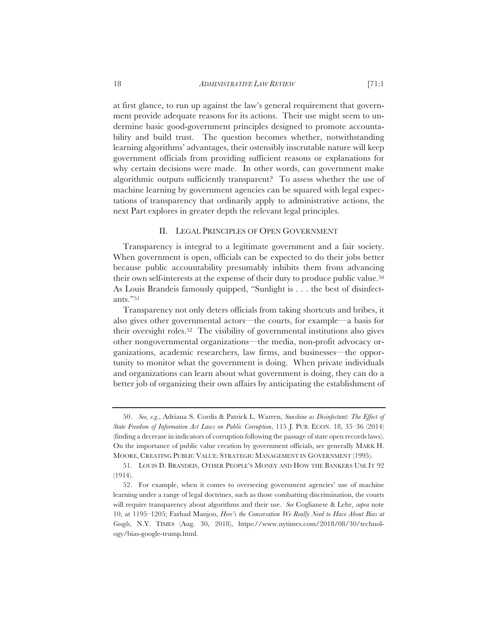at first glance, to run up against the law's general requirement that government provide adequate reasons for its actions. Their use might seem to undermine basic good-government principles designed to promote accountability and build trust. The question becomes whether, notwithstanding learning algorithms' advantages, their ostensibly inscrutable nature will keep government officials from providing sufficient reasons or explanations for why certain decisions were made. In other words, can government make algorithmic outputs sufficiently transparent? To assess whether the use of machine learning by government agencies can be squared with legal expectations of transparency that ordinarily apply to administrative actions, the next Part explores in greater depth the relevant legal principles.

#### II. LEGAL PRINCIPLES OF OPEN GOVERNMENT

Transparency is integral to a legitimate government and a fair society. When government is open, officials can be expected to do their jobs better because public accountability presumably inhibits them from advancing their own self-interests at the expense of their duty to produce public value.50 As Louis Brandeis famously quipped, "Sunlight is . . . the best of disinfectants."51

Transparency not only deters officials from taking shortcuts and bribes, it also gives other governmental actors—the courts, for example—a basis for their oversight roles.52 The visibility of governmental institutions also gives other nongovernmental organizations—the media, non-profit advocacy organizations, academic researchers, law firms, and businesses—the opportunity to monitor what the government is doing. When private individuals and organizations can learn about what government is doing, they can do a better job of organizing their own affairs by anticipating the establishment of

<sup>50.</sup> *See, e.g.*, Adriana S. Cordis & Patrick L. Warren, *Sunshine as Disinfectant: The Effect of State Freedom of Information Act Laws on Public Corruption*, 115 J. PUB. ECON. 18, 35–36 (2014) (finding a decrease in indicators of corruption following the passage of state open records laws). On the importance of public value creation by government officials, see generally MARK H. MOORE, CREATING PUBLIC VALUE: STRATEGIC MANAGEMENT IN GOVERNMENT (1995).

<sup>51.</sup> LOUIS D. BRANDEIS, OTHER PEOPLE'S MONEY AND HOW THE BANKERS USE IT 92 (1914).

<sup>52.</sup> For example, when it comes to overseeing government agencies' use of machine learning under a range of legal doctrines, such as those combatting discrimination, the courts will require transparency about algorithms and their use. *See* Coglianese & Lehr, *supra* note 10, at 1195–1205; Farhad Manjoo, *Here's the Conversation We Really Need to Have About Bias at Google*, N.Y. TIMES (Aug. 30, 2018), https://www.nytimes.com/2018/08/30/technology/bias-google-trump.html.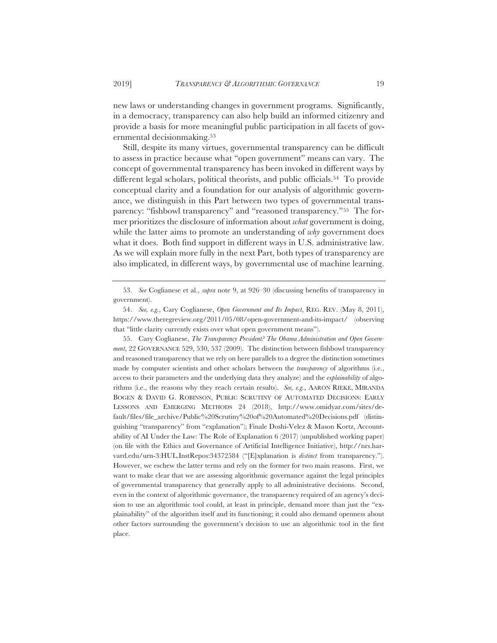new laws or understanding changes in government programs. Significantly, in a democracy, transparency can also help build an informed citizenry and provide a basis for more meaningful public participation in all facets of governmental decisionmaking.53

Still, despite its many virtues, governmental transparency can be difficult to assess in practice because what "open government" means can vary. The concept of governmental transparency has been invoked in different ways by different legal scholars, political theorists, and public officials.<sup>54</sup> To provide conceptual clarity and a foundation for our analysis of algorithmic governance, we distinguish in this Part between two types of governmental transparency: "fishbowl transparency" and "reasoned transparency."55 The former prioritizes the disclosure of information about *what* government is doing, while the latter aims to promote an understanding of *why* government does what it does. Both find support in different ways in U.S. administrative law. As we will explain more fully in the next Part, both types of transparency are also implicated, in different ways, by governmental use of machine learning.

55. Cary Coglianese, *The Transparency President? The Obama Administration and Open Government*, 22 GOVERNANCE 529, 530, 537 (2009). The distinction between fishbowl transparency and reasoned transparency that we rely on here parallels to a degree the distinction sometimes made by computer scientists and other scholars between the *transparency* of algorithms (i.e., access to their parameters and the underlying data they analyze) and the *explainability* of algorithms (i.e., the reasons why they reach certain results). *See, e.g.*, AARON RIEKE, MIRANDA BOGEN & DAVID G. ROBINSON, PUBLIC SCRUTINY OF AUTOMATED DECISIONS: EARLY LESSONS AND EMERGING METHODS 24 (2018), http://www.omidyar.com/sites/default/files/file\_archive/Public%20Scrutiny%20of%20Automated%20Decisions.pdf (distinguishing "transparency" from "explanation"); Finale Doshi-Velez & Mason Kortz, Accountability of AI Under the Law: The Role of Explanation 6 (2017) (unpublished working paper) (on file with the Ethics and Governance of Artificial Intelligence Initiative), http://nrs.harvard.edu/urn-3:HUL.InstRepos:34372584 ("[E]xplanation is *distinct* from transparency."). However, we eschew the latter terms and rely on the former for two main reasons. First, we want to make clear that we are assessing algorithmic governance against the legal principles of governmental transparency that generally apply to all administrative decisions. Second, even in the context of algorithmic governance, the transparency required of an agency's decision to use an algorithmic tool could, at least in principle, demand more than just the "explainability" of the algorithm itself and its functioning; it could also demand openness about other factors surrounding the government's decision to use an algorithmic tool in the first place.

<sup>53.</sup> *See* Coglianese et al., *supra* note 9, at 926–30 (discussing benefits of transparency in government).

<sup>54.</sup> *See, e.g.*, Cary Coglianese, *Open Government and Its Impact*, REG. REV. (May 8, 2011), https://www.theregreview.org/2011/05/08/open-government-and-its-impact/ (observing that "little clarity currently exists over what open government means").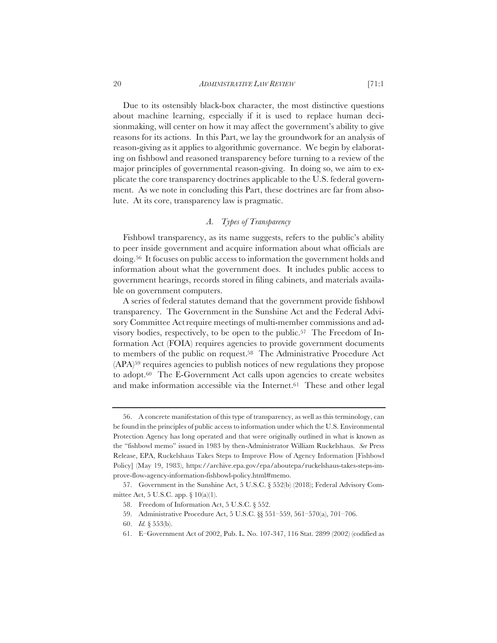#### 20 *ADMINISTRATIVE LAW REVIEW* [71:1

Due to its ostensibly black-box character, the most distinctive questions about machine learning, especially if it is used to replace human decisionmaking, will center on how it may affect the government's ability to give reasons for its actions. In this Part, we lay the groundwork for an analysis of reason-giving as it applies to algorithmic governance. We begin by elaborating on fishbowl and reasoned transparency before turning to a review of the major principles of governmental reason-giving. In doing so, we aim to explicate the core transparency doctrines applicable to the U.S. federal government. As we note in concluding this Part, these doctrines are far from absolute. At its core, transparency law is pragmatic.

# *A. Types of Transparency*

Fishbowl transparency, as its name suggests, refers to the public's ability to peer inside government and acquire information about what officials are doing.56 It focuses on public access to information the government holds and information about what the government does. It includes public access to government hearings, records stored in filing cabinets, and materials available on government computers.

A series of federal statutes demand that the government provide fishbowl transparency. The Government in the Sunshine Act and the Federal Advisory Committee Act require meetings of multi-member commissions and advisory bodies, respectively, to be open to the public.57 The Freedom of Information Act (FOIA) requires agencies to provide government documents to members of the public on request.58 The Administrative Procedure Act (APA)59 requires agencies to publish notices of new regulations they propose to adopt.60 The E-Government Act calls upon agencies to create websites and make information accessible via the Internet.61 These and other legal

<sup>56.</sup> A concrete manifestation of this type of transparency, as well as this terminology, can be found in the principles of public access to information under which the U.S. Environmental Protection Agency has long operated and that were originally outlined in what is known as the "fishbowl memo" issued in 1983 by then-Administrator William Ruckelshaus. *See* Press Release, EPA, Ruckelshaus Takes Steps to Improve Flow of Agency Information [Fishbowl Policy] (May 19, 1983), https://archive.epa.gov/epa/aboutepa/ruckelshaus-takes-steps-improve-flow-agency-information-fishbowl-policy.html#memo.

<sup>57.</sup> Government in the Sunshine Act, 5 U.S.C. § 552(b) (2018); Federal Advisory Committee Act, 5 U.S.C. app. § 10(a)(1).

<sup>58.</sup> Freedom of Information Act, 5 U.S.C. § 552.

<sup>59.</sup> Administrative Procedure Act, 5 U.S.C. §§ 551–559, 561–570(a), 701–706.

<sup>60.</sup> *Id.* § 553(b).

<sup>61.</sup> E–Government Act of 2002, Pub. L. No. 107-347, 116 Stat. 2899 (2002) (codified as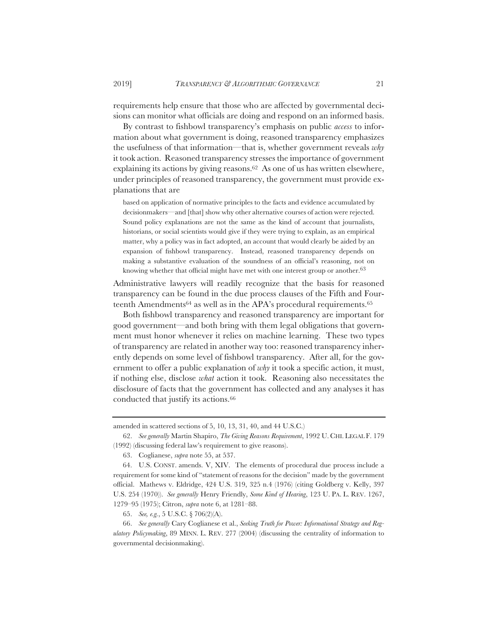requirements help ensure that those who are affected by governmental decisions can monitor what officials are doing and respond on an informed basis.

By contrast to fishbowl transparency's emphasis on public *access* to information about what government is doing, reasoned transparency emphasizes the usefulness of that information—that is, whether government reveals *why* it took action. Reasoned transparency stresses the importance of government explaining its actions by giving reasons.62 As one of us has written elsewhere, under principles of reasoned transparency, the government must provide explanations that are

based on application of normative principles to the facts and evidence accumulated by decisionmakers—and [that] show why other alternative courses of action were rejected. Sound policy explanations are not the same as the kind of account that journalists, historians, or social scientists would give if they were trying to explain, as an empirical matter, why a policy was in fact adopted, an account that would clearly be aided by an expansion of fishbowl transparency. Instead, reasoned transparency depends on making a substantive evaluation of the soundness of an official's reasoning, not on knowing whether that official might have met with one interest group or another.<sup>63</sup>

Administrative lawyers will readily recognize that the basis for reasoned transparency can be found in the due process clauses of the Fifth and Fourteenth Amendments<sup>64</sup> as well as in the APA's procedural requirements.<sup>65</sup>

Both fishbowl transparency and reasoned transparency are important for good government—and both bring with them legal obligations that government must honor whenever it relies on machine learning. These two types of transparency are related in another way too: reasoned transparency inherently depends on some level of fishbowl transparency. After all, for the government to offer a public explanation of *why* it took a specific action, it must, if nothing else, disclose *what* action it took. Reasoning also necessitates the disclosure of facts that the government has collected and any analyses it has conducted that justify its actions.66

amended in scattered sections of 5, 10, 13, 31, 40, and 44 U.S.C.)

<sup>62.</sup> *See generally* Martin Shapiro, *The Giving Reasons Requirement*, 1992 U. CHI. LEGAL F. 179 (1992) (discussing federal law's requirement to give reasons).

<sup>63.</sup> Coglianese, *supra* note 55, at 537.

<sup>64.</sup> U.S. CONST. amends. V, XIV. The elements of procedural due process include a requirement for some kind of "statement of reasons for the decision" made by the government official. Mathews v. Eldridge, 424 U.S. 319, 325 n.4 (1976) (citing Goldberg v. Kelly, 397 U.S. 254 (1970)). *See generally* Henry Friendly, *Some Kind of Hearing*, 123 U. PA. L. REV. 1267, 1279–95 (1975); Citron, *supra* note 6, at 1281–88.

<sup>65.</sup> *See, e.g.*, 5 U.S.C. § 706(2)(A).

<sup>66.</sup> *See generally* Cary Coglianese et al., *Seeking Truth for Power: Informational Strategy and Regulatory Policymaking*, 89 MINN. L. REV. 277 (2004) (discussing the centrality of information to governmental decisionmaking).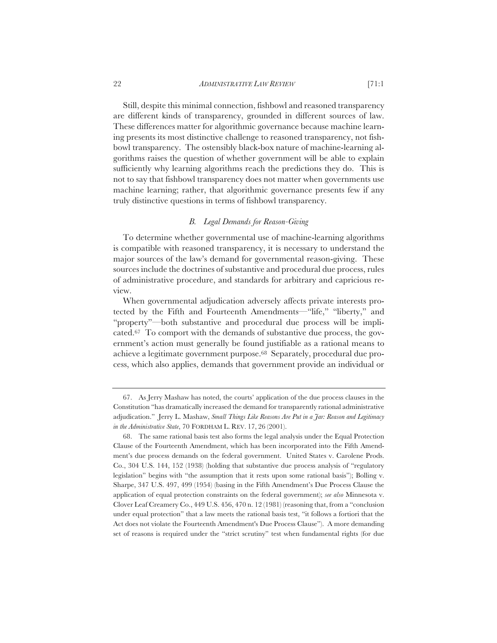Still, despite this minimal connection, fishbowl and reasoned transparency are different kinds of transparency, grounded in different sources of law. These differences matter for algorithmic governance because machine learning presents its most distinctive challenge to reasoned transparency, not fishbowl transparency. The ostensibly black-box nature of machine-learning algorithms raises the question of whether government will be able to explain sufficiently why learning algorithms reach the predictions they do. This is not to say that fishbowl transparency does not matter when governments use machine learning; rather, that algorithmic governance presents few if any truly distinctive questions in terms of fishbowl transparency.

# *B. Legal Demands for Reason-Giving*

To determine whether governmental use of machine-learning algorithms is compatible with reasoned transparency, it is necessary to understand the major sources of the law's demand for governmental reason-giving. These sources include the doctrines of substantive and procedural due process, rules of administrative procedure, and standards for arbitrary and capricious review.

When governmental adjudication adversely affects private interests protected by the Fifth and Fourteenth Amendments—"life," "liberty," and "property"—both substantive and procedural due process will be implicated.67 To comport with the demands of substantive due process, the government's action must generally be found justifiable as a rational means to achieve a legitimate government purpose.68 Separately, procedural due process, which also applies, demands that government provide an individual or

<sup>67.</sup> As Jerry Mashaw has noted, the courts' application of the due process clauses in the Constitution "has dramatically increased the demand for transparently rational administrative adjudication." Jerry L. Mashaw, *Small Things Like Reasons Are Put in a Jar: Reason and Legitimacy in the Administrative State*, 70 FORDHAM L. REV. 17, 26 (2001).

<sup>68.</sup> The same rational basis test also forms the legal analysis under the Equal Protection Clause of the Fourteenth Amendment, which has been incorporated into the Fifth Amendment's due process demands on the federal government. United States v. Carolene Prods. Co., 304 U.S. 144, 152 (1938) (holding that substantive due process analysis of "regulatory legislation" begins with "the assumption that it rests upon some rational basis"); Bolling v. Sharpe, 347 U.S. 497, 499 (1954) (basing in the Fifth Amendment's Due Process Clause the application of equal protection constraints on the federal government); *see also* Minnesota v. Clover Leaf Creamery Co., 449 U.S. 456, 470 n. 12 (1981) (reasoning that, from a "conclusion under equal protection" that a law meets the rational basis test, "it follows a fortiori that the Act does not violate the Fourteenth Amendment's Due Process Clause"). A more demanding set of reasons is required under the "strict scrutiny" test when fundamental rights (for due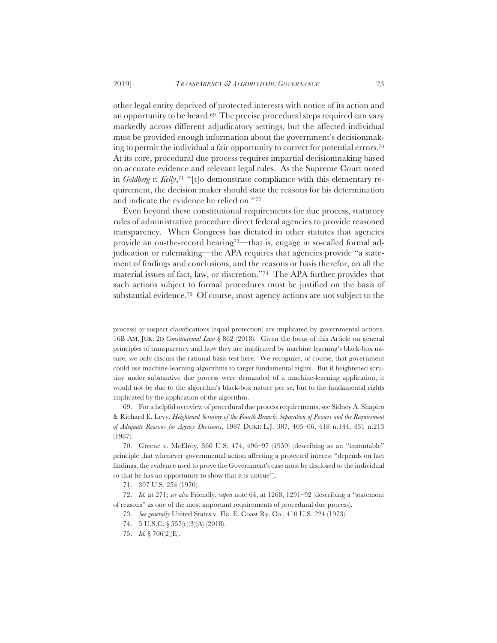other legal entity deprived of protected interests with notice of its action and an opportunity to be heard.<sup>69</sup> The precise procedural steps required can vary markedly across different adjudicatory settings, but the affected individual must be provided enough information about the government's decisionmaking to permit the individual a fair opportunity to correct for potential errors.70 At its core, procedural due process requires impartial decisionmaking based on accurate evidence and relevant legal rules. As the Supreme Court noted in *Goldberg v. Kelly*,<sup>71</sup> "[t]o demonstrate compliance with this elementary requirement, the decision maker should state the reasons for his determination and indicate the evidence he relied on."72

Even beyond these constitutional requirements for due process, statutory rules of administrative procedure direct federal agencies to provide reasoned transparency. When Congress has dictated in other statutes that agencies provide an on-the-record hearing<sup>73</sup>—that is, engage in so-called formal adjudication or rulemaking—the APA requires that agencies provide "a statement of findings and conclusions, and the reasons or basis therefor, on all the material issues of fact, law, or discretion."74 The APA further provides that such actions subject to formal procedures must be justified on the basis of substantial evidence.75 Of course, most agency actions are not subject to the

process) or suspect classifications (equal protection) are implicated by governmental actions. 16B AM. JUR. 2D *Constitutional Law* § 862 (2018). Given the focus of this Article on general principles of transparency and how they are implicated by machine learning's black-box nature, we only discuss the rational basis test here. We recognize, of course, that government could use machine-learning algorithms to target fundamental rights. But if heightened scrutiny under substantive due process were demanded of a machine-learning application, it would not be due to the algorithm's black-box nature per se, but to the fundamental rights implicated by the application of the algorithm.

<sup>69.</sup> For a helpful overview of procedural due process requirements, see Sidney A. Shapiro & Richard E. Levy, *Heightened Scrutiny of the Fourth Branch: Separation of Powers and the Requirement of Adequate Reasons for Agency Decisions*, 1987 DUKE L.J. 387, 405–06, 418 n.144, 431 n.213 (1987).

<sup>70.</sup> Greene v. McElroy*,* 360 U.S. 474, 496–97 (1959) (describing as an "immutable" principle that whenever governmental action affecting a protected interest "depends on fact findings, the evidence used to prove the Government's case must be disclosed to the individual so that he has an opportunity to show that it is untrue").

<sup>71. 397</sup> U.S. 254 (1970).

<sup>72.</sup> *Id.* at 271; *see also* Friendly, *supra* note 64, at 1268, 1291–92 (describing a "statement of reasons" as one of the most important requirements of procedural due process).

<sup>73.</sup> *See generally* United States v. Fla. E. Coast Ry. Co., 410 U.S. 224 (1973).

<sup>74. 5</sup> U.S.C. § 557(c)(3)(A) (2018).

<sup>75.</sup> *Id.* § 706(2)(E).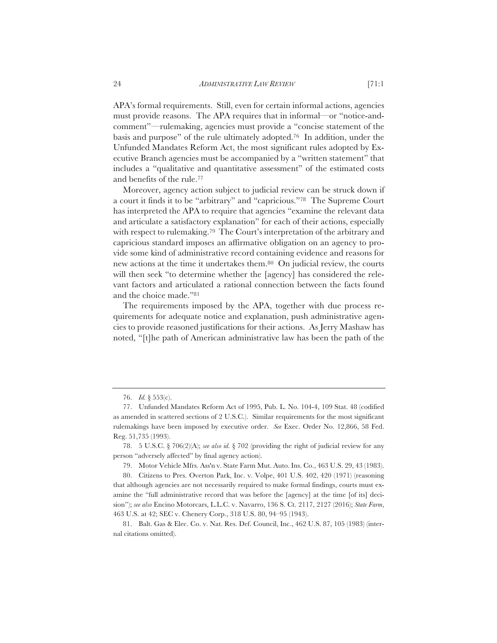APA's formal requirements. Still, even for certain informal actions, agencies must provide reasons. The APA requires that in informal—or "notice-andcomment"—rulemaking, agencies must provide a "concise statement of the basis and purpose" of the rule ultimately adopted.76 In addition, under the Unfunded Mandates Reform Act, the most significant rules adopted by Executive Branch agencies must be accompanied by a "written statement" that includes a "qualitative and quantitative assessment" of the estimated costs and benefits of the rule.77

Moreover, agency action subject to judicial review can be struck down if a court it finds it to be "arbitrary" and "capricious."78 The Supreme Court has interpreted the APA to require that agencies "examine the relevant data and articulate a satisfactory explanation" for each of their actions, especially with respect to rulemaking.79 The Court's interpretation of the arbitrary and capricious standard imposes an affirmative obligation on an agency to provide some kind of administrative record containing evidence and reasons for new actions at the time it undertakes them.80 On judicial review, the courts will then seek "to determine whether the [agency] has considered the relevant factors and articulated a rational connection between the facts found and the choice made."81

The requirements imposed by the APA, together with due process requirements for adequate notice and explanation, push administrative agencies to provide reasoned justifications for their actions. As Jerry Mashaw has noted, "[t]he path of American administrative law has been the path of the

79. Motor Vehicle Mfrs. Ass'n v. State Farm Mut. Auto. Ins. Co., 463 U.S. 29, 43 (1983).

<sup>76.</sup> *Id.* § 553(c).

<sup>77.</sup> Unfunded Mandates Reform Act of 1995, Pub. L. No. 104-4, 109 Stat. 48 (codified as amended in scattered sections of 2 U.S.C.). Similar requirements for the most significant rulemakings have been imposed by executive order. *See* Exec. Order No. 12,866, 58 Fed. Reg. 51,735 (1993).

<sup>78. 5</sup> U.S.C. § 706(2)(A); *see also id.* § 702 (providing the right of judicial review for any person "adversely affected" by final agency action).

<sup>80.</sup> Citizens to Pres. Overton Park, Inc. v. Volpe, 401 U.S. 402, 420 (1971) (reasoning that although agencies are not necessarily required to make formal findings, courts must examine the "full administrative record that was before the [agency] at the time [of its] decision"); *see also* Encino Motorcars, L.L.C. v. Navarro, 136 S. Ct. 2117, 2127 (2016); *State Farm*, 463 U.S. at 42; SEC v. Chenery Corp., 318 U.S. 80, 94–95 (1943).

<sup>81.</sup> Balt. Gas & Elec. Co. v. Nat. Res. Def. Council, Inc., 462 U.S. 87, 105 (1983) (internal citations omitted).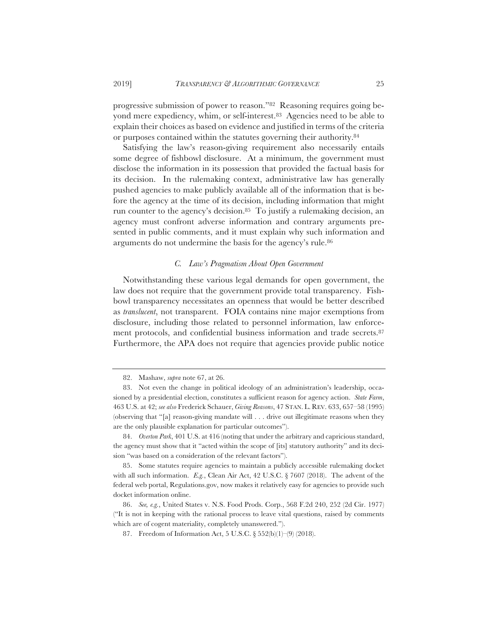progressive submission of power to reason."82 Reasoning requires going beyond mere expediency, whim, or self-interest.<sup>83</sup> Agencies need to be able to explain their choices as based on evidence and justified in terms of the criteria or purposes contained within the statutes governing their authority.84

Satisfying the law's reason-giving requirement also necessarily entails some degree of fishbowl disclosure. At a minimum, the government must disclose the information in its possession that provided the factual basis for its decision. In the rulemaking context, administrative law has generally pushed agencies to make publicly available all of the information that is before the agency at the time of its decision, including information that might run counter to the agency's decision.85 To justify a rulemaking decision, an agency must confront adverse information and contrary arguments presented in public comments, and it must explain why such information and arguments do not undermine the basis for the agency's rule.86

# *C. Law's Pragmatism About Open Government*

Notwithstanding these various legal demands for open government, the law does not require that the government provide total transparency. Fishbowl transparency necessitates an openness that would be better described as *translucent*, not transparent. FOIA contains nine major exemptions from disclosure, including those related to personnel information, law enforcement protocols, and confidential business information and trade secrets.87 Furthermore, the APA does not require that agencies provide public notice

<sup>82.</sup> Mashaw, *supra* note 67, at 26.

<sup>83.</sup> Not even the change in political ideology of an administration's leadership, occasioned by a presidential election, constitutes a sufficient reason for agency action. *State Farm*, 463 U.S. at 42; *see also* Frederick Schauer, *Giving Reasons*, 47 STAN. L. REV. 633, 657–58 (1995) (observing that "[a] reason-giving mandate will . . . drive out illegitimate reasons when they are the only plausible explanation for particular outcomes").

<sup>84.</sup> *Overton Park*, 401 U.S. at 416 (noting that under the arbitrary and capricious standard, the agency must show that it "acted within the scope of [its] statutory authority" and its decision "was based on a consideration of the relevant factors").

<sup>85.</sup> Some statutes require agencies to maintain a publicly accessible rulemaking docket with all such information. *E.g.*, Clean Air Act, 42 U.S.C. § 7607 (2018). The advent of the federal web portal, Regulations.gov, now makes it relatively easy for agencies to provide such docket information online.

<sup>86.</sup> *See, e.g.*, United States v. N.S. Food Prods. Corp., 568 F.2d 240, 252 (2d Cir. 1977) ("It is not in keeping with the rational process to leave vital questions, raised by comments which are of cogent materiality, completely unanswered.").

<sup>87.</sup> Freedom of Information Act, 5 U.S.C. § 552(b)(1)–(9) (2018).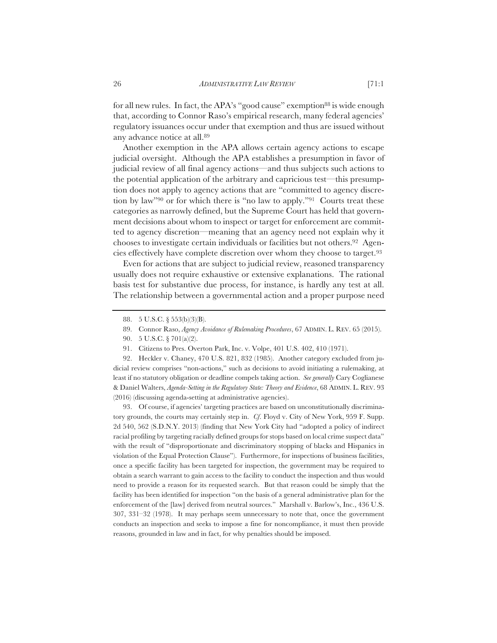for all new rules. In fact, the APA's "good cause" exemption<sup>88</sup> is wide enough that, according to Connor Raso's empirical research, many federal agencies' regulatory issuances occur under that exemption and thus are issued without any advance notice at all.89

Another exemption in the APA allows certain agency actions to escape judicial oversight. Although the APA establishes a presumption in favor of judicial review of all final agency actions—and thus subjects such actions to the potential application of the arbitrary and capricious test—this presumption does not apply to agency actions that are "committed to agency discretion by law"90 or for which there is "no law to apply."91 Courts treat these categories as narrowly defined, but the Supreme Court has held that government decisions about whom to inspect or target for enforcement are committed to agency discretion—meaning that an agency need not explain why it chooses to investigate certain individuals or facilities but not others.92 Agencies effectively have complete discretion over whom they choose to target.93

Even for actions that are subject to judicial review, reasoned transparency usually does not require exhaustive or extensive explanations. The rational basis test for substantive due process, for instance, is hardly any test at all. The relationship between a governmental action and a proper purpose need

- 89. Connor Raso, *Agency Avoidance of Rulemaking Procedures*, 67 ADMIN. L. REV. 65 (2015).
- 90. 5 U.S.C. § 701(a)(2).
- 91. Citizens to Pres. Overton Park, Inc. v. Volpe, 401 U.S. 402, 410 (1971).

92. Heckler v. Chaney, 470 U.S. 821, 832 (1985). Another category excluded from judicial review comprises "non-actions," such as decisions to avoid initiating a rulemaking, at least if no statutory obligation or deadline compels taking action. *See generally* Cary Coglianese & Daniel Walters, *Agenda-Setting in the Regulatory State: Theory and Evidence*, 68 ADMIN. L. REV. 93 (2016) (discussing agenda-setting at administrative agencies).

93. Of course, if agencies' targeting practices are based on unconstitutionally discriminatory grounds, the courts may certainly step in. *Cf*. Floyd v. City of New York, 959 F. Supp. 2d 540, 562 (S.D.N.Y. 2013) (finding that New York City had "adopted a policy of indirect racial profiling by targeting racially defined groups for stops based on local crime suspect data" with the result of "disproportionate and discriminatory stopping of blacks and Hispanics in violation of the Equal Protection Clause"). Furthermore, for inspections of business facilities, once a specific facility has been targeted for inspection, the government may be required to obtain a search warrant to gain access to the facility to conduct the inspection and thus would need to provide a reason for its requested search. But that reason could be simply that the facility has been identified for inspection "on the basis of a general administrative plan for the enforcement of the [law] derived from neutral sources." Marshall v. Barlow's, Inc., 436 U.S. 307, 331–32 (1978). It may perhaps seem unnecessary to note that, once the government conducts an inspection and seeks to impose a fine for noncompliance, it must then provide reasons, grounded in law and in fact, for why penalties should be imposed.

<sup>88. 5</sup> U.S.C. § 553(b)(3)(B).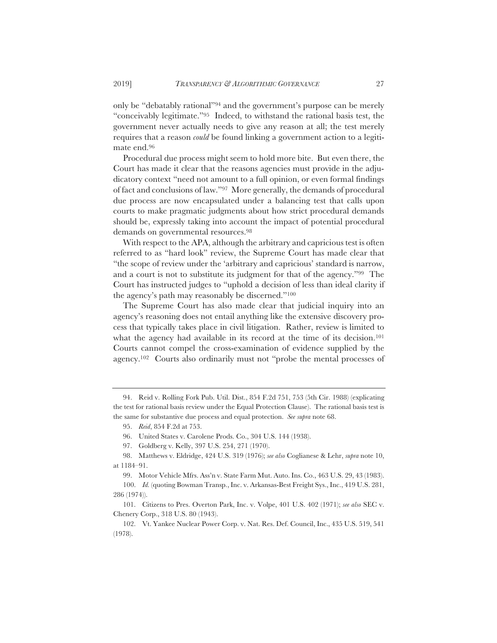only be "debatably rational"94 and the government's purpose can be merely "conceivably legitimate."95 Indeed, to withstand the rational basis test, the government never actually needs to give any reason at all; the test merely requires that a reason *could* be found linking a government action to a legitimate end.96

Procedural due process might seem to hold more bite. But even there, the Court has made it clear that the reasons agencies must provide in the adjudicatory context "need not amount to a full opinion, or even formal findings of fact and conclusions of law."97 More generally, the demands of procedural due process are now encapsulated under a balancing test that calls upon courts to make pragmatic judgments about how strict procedural demands should be, expressly taking into account the impact of potential procedural demands on governmental resources.98

With respect to the APA, although the arbitrary and capricious test is often referred to as "hard look" review, the Supreme Court has made clear that "the scope of review under the 'arbitrary and capricious' standard is narrow, and a court is not to substitute its judgment for that of the agency."99 The Court has instructed judges to "uphold a decision of less than ideal clarity if the agency's path may reasonably be discerned."100

The Supreme Court has also made clear that judicial inquiry into an agency's reasoning does not entail anything like the extensive discovery process that typically takes place in civil litigation. Rather, review is limited to what the agency had available in its record at the time of its decision.<sup>101</sup> Courts cannot compel the cross-examination of evidence supplied by the agency.102 Courts also ordinarily must not "probe the mental processes of

99. Motor Vehicle Mfrs. Ass'n v. State Farm Mut. Auto. Ins. Co., 463 U.S. 29, 43 (1983).

100. *Id.* (quoting Bowman Transp., Inc. v. Arkansas-Best Freight Sys., Inc., 419 U.S. 281, 286 (1974)).

101. Citizens to Pres. Overton Park, Inc. v. Volpe, 401 U.S. 402 (1971); *see also* SEC v. Chenery Corp., 318 U.S. 80 (1943).

102. Vt. Yankee Nuclear Power Corp. v. Nat. Res. Def. Council, Inc., 435 U.S. 519, 541 (1978).

<sup>94.</sup> Reid v. Rolling Fork Pub. Util. Dist., 854 F.2d 751, 753 (5th Cir. 1988) (explicating the test for rational basis review under the Equal Protection Clause). The rational basis test is the same for substantive due process and equal protection. *See supra* note 68.

<sup>95.</sup> *Reid*, 854 F.2d at 753.

<sup>96.</sup> United States v. Carolene Prods. Co., 304 U.S. 144 (1938).

<sup>97.</sup> Goldberg v. Kelly, 397 U.S. 254, 271 (1970).

<sup>98.</sup> Matthews v. Eldridge, 424 U.S. 319 (1976); *see also* Coglianese & Lehr, *supra* note 10, at 1184–91.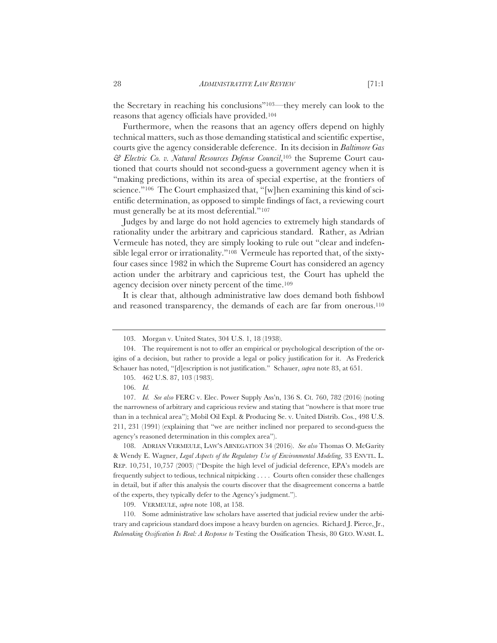Furthermore, when the reasons that an agency offers depend on highly technical matters, such as those demanding statistical and scientific expertise, courts give the agency considerable deference. In its decision in *Baltimore Gas & Electric Co. v. Natural Resources Defense Council*,105 the Supreme Court cautioned that courts should not second-guess a government agency when it is "making predictions, within its area of special expertise, at the frontiers of science."<sup>106</sup> The Court emphasized that, "[w]hen examining this kind of sci-entific determination, as opposed to simple findings of fact, a reviewing court must generally be at its most deferential."107

Judges by and large do not hold agencies to extremely high standards of rationality under the arbitrary and capricious standard. Rather, as Adrian Vermeule has noted, they are simply looking to rule out "clear and indefensible legal error or irrationality."108 Vermeule has reported that, of the sixtyfour cases since 1982 in which the Supreme Court has considered an agency action under the arbitrary and capricious test, the Court has upheld the agency decision over ninety percent of the time.109

It is clear that, although administrative law does demand both fishbowl and reasoned transparency, the demands of each are far from onerous.110

109. VERMEULE, *supra* note 108, at 158.

110. Some administrative law scholars have asserted that judicial review under the arbitrary and capricious standard does impose a heavy burden on agencies. Richard J. Pierce, Jr., *Rulemaking Ossification Is Real: A Response to* Testing the Ossification Thesis, 80 GEO. WASH. L.

<sup>103.</sup> Morgan v. United States, 304 U.S. 1, 18 (1938).

<sup>104.</sup> The requirement is not to offer an empirical or psychological description of the origins of a decision, but rather to provide a legal or policy justification for it. As Frederick Schauer has noted, "[d]escription is not justification." Schauer, *supra* note 83, at 651.

<sup>105. 462</sup> U.S. 87, 103 (1983).

<sup>106.</sup> *Id.*

<sup>107.</sup> *Id. See also* FERC v. Elec. Power Supply Ass'n, 136 S. Ct. 760, 782 (2016) (noting the narrowness of arbitrary and capricious review and stating that "nowhere is that more true than in a technical area"); Mobil Oil Expl. & Producing Se. v. United Distrib. Cos., 498 U.S. 211, 231 (1991) (explaining that "we are neither inclined nor prepared to second-guess the agency's reasoned determination in this complex area").

<sup>108.</sup> ADRIAN VERMEULE, LAW'S ABNEGATION 34 (2016). *See also* Thomas O. McGarity & Wendy E. Wagner, *Legal Aspects of the Regulatory Use of Environmental Modeling*, 33 ENVTL. L. REP. 10,751, 10,757 (2003) ("Despite the high level of judicial deference, EPA's models are frequently subject to tedious, technical nitpicking . . . . Courts often consider these challenges in detail, but if after this analysis the courts discover that the disagreement concerns a battle of the experts, they typically defer to the Agency's judgment.").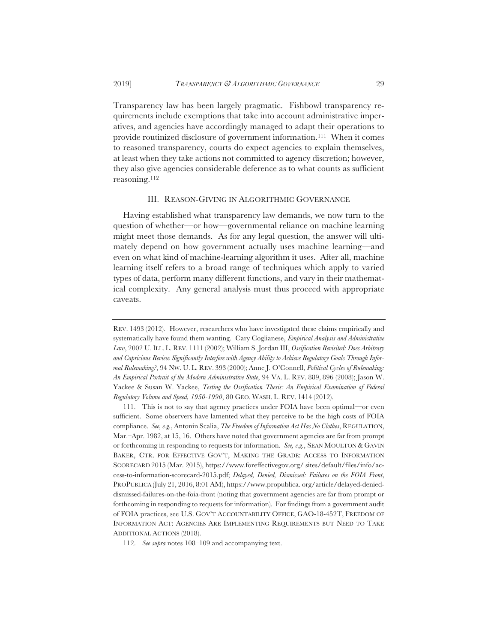Transparency law has been largely pragmatic. Fishbowl transparency requirements include exemptions that take into account administrative imperatives, and agencies have accordingly managed to adapt their operations to provide routinized disclosure of government information.111 When it comes to reasoned transparency, courts do expect agencies to explain themselves, at least when they take actions not committed to agency discretion; however, they also give agencies considerable deference as to what counts as sufficient reasoning.112

#### III. REASON-GIVING IN ALGORITHMIC GOVERNANCE

Having established what transparency law demands, we now turn to the question of whether—or how—governmental reliance on machine learning might meet those demands. As for any legal question, the answer will ultimately depend on how government actually uses machine learning—and even on what kind of machine-learning algorithm it uses. After all, machine learning itself refers to a broad range of techniques which apply to varied types of data, perform many different functions, and vary in their mathematical complexity. Any general analysis must thus proceed with appropriate caveats.

REV. 1493 (2012). However, researchers who have investigated these claims empirically and systematically have found them wanting. Cary Coglianese, *Empirical Analysis and Administrative Law*, 2002 U.ILL. L. REV. 1111 (2002); William S. Jordan III, *Ossification Revisited: Does Arbitrary and Capricious Review Significantly Interfere with Agency Ability to Achieve Regulatory Goals Through Informal Rulemaking?*, 94 NW. U. L. REV. 393 (2000); Anne J. O'Connell, *Political Cycles of Rulemaking: An Empirical Portrait of the Modern Administrative State*, 94 VA. L. REV. 889, 896 (2008); Jason W. Yackee & Susan W. Yackee, *Testing the Ossification Thesis: An Empirical Examination of Federal Regulatory Volume and Speed, 1950-1990*, 80 GEO. WASH. L. REV. 1414 (2012).

<sup>111.</sup> This is not to say that agency practices under FOIA have been optimal—or even sufficient. Some observers have lamented what they perceive to be the high costs of FOIA compliance. *See, e.g.*, Antonin Scalia, *The Freedom of Information Act Has No Clothes*, REGULATION, Mar.–Apr. 1982, at 15, 16. Others have noted that government agencies are far from prompt or forthcoming in responding to requests for information. *See, e.g.*, SEAN MOULTON & GAVIN BAKER, CTR. FOR EFFECTIVE GOV'T, MAKING THE GRADE: ACCESS TO INFORMATION SCORECARD 2015 (Mar. 2015), https://www.foreffectivegov.org/ sites/default/files/info/access-to-information-scorecard-2015.pdf; *Delayed, Denied, Dismissed: Failures on the FOIA Front*, PROPUBLICA (July 21, 2016, 8:01 AM), https://www.propublica. org/article/delayed-denieddismissed-failures-on-the-foia-front (noting that government agencies are far from prompt or forthcoming in responding to requests for information). For findings from a government audit of FOIA practices, see U.S. GOV'T ACCOUNTABILITY OFFICE, GAO-18-452T, FREEDOM OF INFORMATION ACT: AGENCIES ARE IMPLEMENTING REQUIREMENTS BUT NEED TO TAKE ADDITIONAL ACTIONS (2018).

<sup>112.</sup> *See supra* notes 108–109 and accompanying text.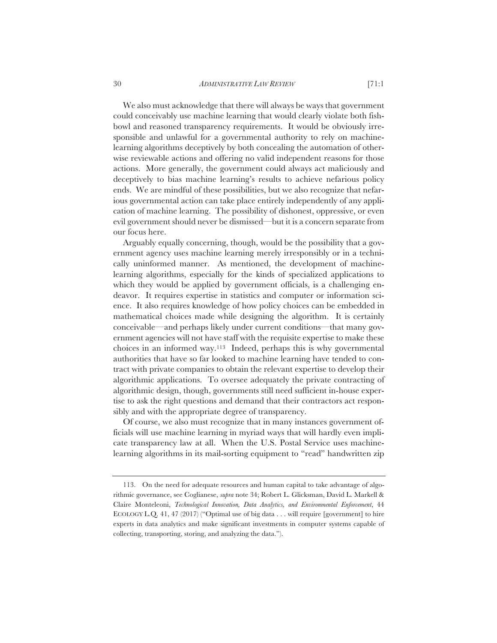We also must acknowledge that there will always be ways that government could conceivably use machine learning that would clearly violate both fishbowl and reasoned transparency requirements. It would be obviously irresponsible and unlawful for a governmental authority to rely on machinelearning algorithms deceptively by both concealing the automation of otherwise reviewable actions and offering no valid independent reasons for those actions. More generally, the government could always act maliciously and deceptively to bias machine learning's results to achieve nefarious policy ends. We are mindful of these possibilities, but we also recognize that nefarious governmental action can take place entirely independently of any application of machine learning. The possibility of dishonest, oppressive, or even evil government should never be dismissed—but it is a concern separate from our focus here.

Arguably equally concerning, though, would be the possibility that a government agency uses machine learning merely irresponsibly or in a technically uninformed manner. As mentioned, the development of machinelearning algorithms, especially for the kinds of specialized applications to which they would be applied by government officials, is a challenging endeavor. It requires expertise in statistics and computer or information science. It also requires knowledge of how policy choices can be embedded in mathematical choices made while designing the algorithm. It is certainly conceivable—and perhaps likely under current conditions—that many government agencies will not have staff with the requisite expertise to make these choices in an informed way.113 Indeed, perhaps this is why governmental authorities that have so far looked to machine learning have tended to contract with private companies to obtain the relevant expertise to develop their algorithmic applications. To oversee adequately the private contracting of algorithmic design, though, governments still need sufficient in-house expertise to ask the right questions and demand that their contractors act responsibly and with the appropriate degree of transparency.

Of course, we also must recognize that in many instances government officials will use machine learning in myriad ways that will hardly even implicate transparency law at all. When the U.S. Postal Service uses machinelearning algorithms in its mail-sorting equipment to "read" handwritten zip

<sup>113.</sup> On the need for adequate resources and human capital to take advantage of algorithmic governance, see Coglianese, *supra* note 34; Robert L. Glicksman, David L. Markell & Claire Monteleoni, *Technological Innovation, Data Analytics, and Environmental Enforcement*, 44 ECOLOGY L.Q. 41, 47 (2017) ("Optimal use of big data . . . will require [government] to hire experts in data analytics and make significant investments in computer systems capable of collecting, transporting, storing, and analyzing the data.").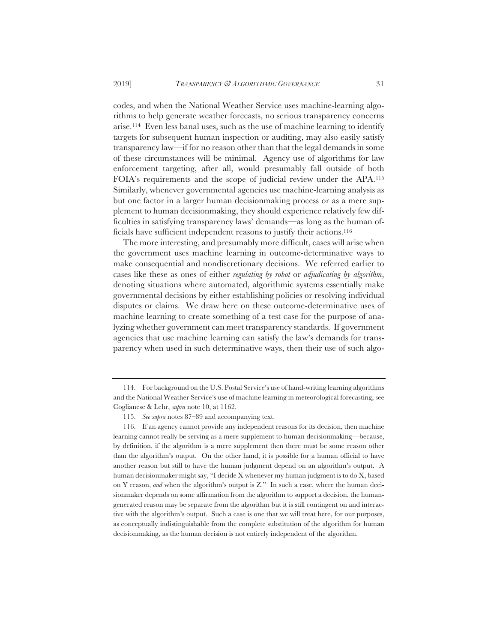codes, and when the National Weather Service uses machine-learning algorithms to help generate weather forecasts, no serious transparency concerns arise.114 Even less banal uses, such as the use of machine learning to identify targets for subsequent human inspection or auditing, may also easily satisfy transparency law—if for no reason other than that the legal demands in some of these circumstances will be minimal. Agency use of algorithms for law enforcement targeting, after all, would presumably fall outside of both FOIA's requirements and the scope of judicial review under the APA.115 Similarly, whenever governmental agencies use machine-learning analysis as but one factor in a larger human decisionmaking process or as a mere supplement to human decisionmaking, they should experience relatively few difficulties in satisfying transparency laws' demands—as long as the human officials have sufficient independent reasons to justify their actions.116

The more interesting, and presumably more difficult, cases will arise when the government uses machine learning in outcome-determinative ways to make consequential and nondiscretionary decisions. We referred earlier to cases like these as ones of either *regulating by robot* or *adjudicating by algorithm*, denoting situations where automated, algorithmic systems essentially make governmental decisions by either establishing policies or resolving individual disputes or claims. We draw here on these outcome-determinative uses of machine learning to create something of a test case for the purpose of analyzing whether government can meet transparency standards. If government agencies that use machine learning can satisfy the law's demands for transparency when used in such determinative ways, then their use of such algo-

<sup>114.</sup> For background on the U.S. Postal Service's use of hand-writing learning algorithms and the National Weather Service's use of machine learning in meteorological forecasting, see Coglianese & Lehr, *supra* note 10, at 1162.

<sup>115.</sup> *See supra* notes 87–89 and accompanying text.

<sup>116.</sup> If an agency cannot provide any independent reasons for its decision, then machine learning cannot really be serving as a mere supplement to human decisionmaking—because, by definition, if the algorithm is a mere supplement then there must be some reason other than the algorithm's output. On the other hand, it is possible for a human official to have another reason but still to have the human judgment depend on an algorithm's output. A human decisionmaker might say, "I decide X whenever my human judgment is to do X, based on Y reason, *and* when the algorithm's output is Z." In such a case, where the human decisionmaker depends on some affirmation from the algorithm to support a decision, the humangenerated reason may be separate from the algorithm but it is still contingent on and interactive with the algorithm's output. Such a case is one that we will treat here, for our purposes, as conceptually indistinguishable from the complete substitution of the algorithm for human decisionmaking, as the human decision is not entirely independent of the algorithm.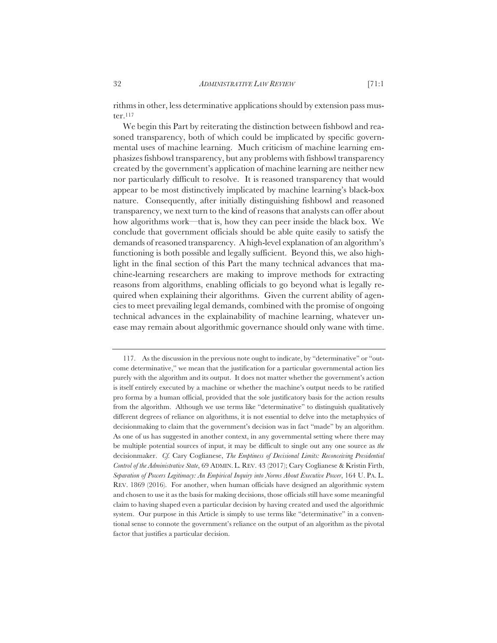rithms in other, less determinative applications should by extension pass muster. $^{117}$ 

We begin this Part by reiterating the distinction between fishbowl and reasoned transparency, both of which could be implicated by specific governmental uses of machine learning. Much criticism of machine learning emphasizes fishbowl transparency, but any problems with fishbowl transparency created by the government's application of machine learning are neither new nor particularly difficult to resolve. It is reasoned transparency that would appear to be most distinctively implicated by machine learning's black-box nature. Consequently, after initially distinguishing fishbowl and reasoned transparency, we next turn to the kind of reasons that analysts can offer about how algorithms work—that is, how they can peer inside the black box. We conclude that government officials should be able quite easily to satisfy the demands of reasoned transparency. A high-level explanation of an algorithm's functioning is both possible and legally sufficient. Beyond this, we also highlight in the final section of this Part the many technical advances that machine-learning researchers are making to improve methods for extracting reasons from algorithms, enabling officials to go beyond what is legally required when explaining their algorithms. Given the current ability of agencies to meet prevailing legal demands, combined with the promise of ongoing technical advances in the explainability of machine learning, whatever unease may remain about algorithmic governance should only wane with time.

<sup>117.</sup> As the discussion in the previous note ought to indicate, by "determinative" or "outcome determinative," we mean that the justification for a particular governmental action lies purely with the algorithm and its output. It does not matter whether the government's action is itself entirely executed by a machine or whether the machine's output needs to be ratified pro forma by a human official, provided that the sole justificatory basis for the action results from the algorithm. Although we use terms like "determinative" to distinguish qualitatively different degrees of reliance on algorithms, it is not essential to delve into the metaphysics of decisionmaking to claim that the government's decision was in fact "made" by an algorithm. As one of us has suggested in another context, in any governmental setting where there may be multiple potential sources of input, it may be difficult to single out any one source as *the* decisionmaker. *Cf.* Cary Coglianese, *The Emptiness of Decisional Limits: Reconceiving Presidential Control of the Administrative State*, 69 ADMIN. L. REV. 43 (2017); Cary Coglianese & Kristin Firth, *Separation of Powers Legitimacy: An Empirical Inquiry into Norms About Executive Power*, 164 U. PA. L. REV. 1869 (2016). For another, when human officials have designed an algorithmic system and chosen to use it as the basis for making decisions, those officials still have some meaningful claim to having shaped even a particular decision by having created and used the algorithmic system. Our purpose in this Article is simply to use terms like "determinative" in a conventional sense to connote the government's reliance on the output of an algorithm as the pivotal factor that justifies a particular decision.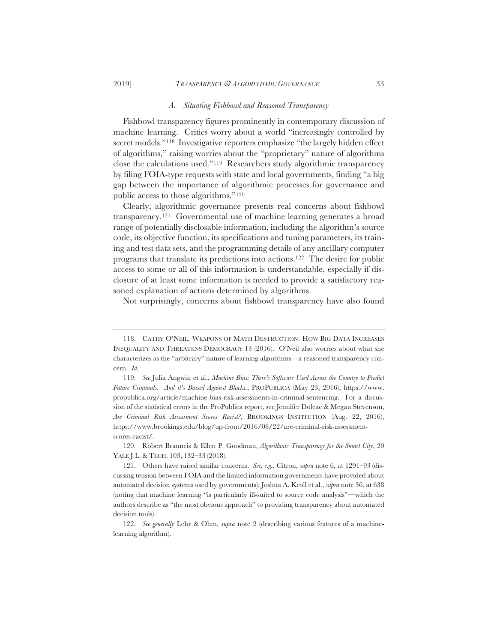## 2019] *TRANSPARENCY & ALGORITHMIC GOVERNANCE* 33

#### *A. Situating Fishbowl and Reasoned Transparency*

Fishbowl transparency figures prominently in contemporary discussion of machine learning. Critics worry about a world "increasingly controlled by secret models."<sup>118</sup> Investigative reporters emphasize "the largely hidden effect of algorithms," raising worries about the "proprietary" nature of algorithms close the calculations used."119 Researchers study algorithmic transparency by filing FOIA-type requests with state and local governments, finding "a big gap between the importance of algorithmic processes for governance and public access to those algorithms."120

Clearly, algorithmic governance presents real concerns about fishbowl transparency.121 Governmental use of machine learning generates a broad range of potentially disclosable information, including the algorithm's source code, its objective function, its specifications and tuning parameters, its training and test data sets, and the programming details of any ancillary computer programs that translate its predictions into actions.122 The desire for public access to some or all of this information is understandable, especially if disclosure of at least some information is needed to provide a satisfactory reasoned explanation of actions determined by algorithms.

Not surprisingly, concerns about fishbowl transparency have also found

<sup>118.</sup> CATHY O'NEIL, WEAPONS OF MATH DESTRUCTION: HOW BIG DATA INCREASES INEQUALITY AND THREATENS DEMOCRACY 13 (2016). O'Neil also worries about what she characterizes as the "arbitrary" nature of learning algorithms—a reasoned transparency concern. *Id.*

<sup>119.</sup> *See* Julia Angwin et al., *Machine Bias: There's Software Used Across the Country to Predict Future Criminals. And it's Biased Against Blacks.*, PROPUBLICA (May 23, 2016), https://www. propublica.org/article/machine-bias-risk-assessments-in-criminal-sentencing. For a discussion of the statistical errors in the ProPublica report, see Jennifer Doleac & Megan Stevenson, *Are Criminal Risk Assessment Scores Racist?*, BROOKINGS INSTITUTION (Aug. 22, 2016), https://www.brookings.edu/blog/up-front/2016/08/22/are-criminal-risk-assessmentscores-racist/.

<sup>120.</sup> Robert Brauneis & Ellen P. Goodman, *Algorithmic Transparency for the Smart City*, 20 YALE J.L. & TECH. 103, 132–33 (2018).

<sup>121.</sup> Others have raised similar concerns. *See, e.g.*, Citron, *supra* note 6, at 1291–93 (discussing tension between FOIA and the limited information governments have provided about automated decision systems used by governments); Joshua A. Kroll et al., *supra* note 36, at 638 (noting that machine learning "is particularly ill-suited to source code analysis"—which the authors describe as "the most obvious approach" to providing transparency about automated decision tools).

<sup>122.</sup> *See generally* Lehr & Ohm, *supra* note 2 (describing various features of a machinelearning algorithm).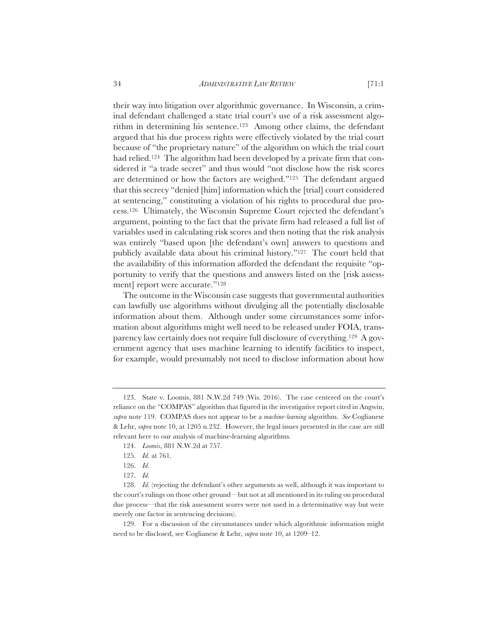34 *ADMINISTRATIVE LAW REVIEW* [71:1

their way into litigation over algorithmic governance. In Wisconsin, a criminal defendant challenged a state trial court's use of a risk assessment algorithm in determining his sentence.123 Among other claims, the defendant argued that his due process rights were effectively violated by the trial court because of "the proprietary nature" of the algorithm on which the trial court had relied.<sup>124</sup> The algorithm had been developed by a private firm that considered it "a trade secret" and thus would "not disclose how the risk scores are determined or how the factors are weighed."125 The defendant argued that this secrecy "denied [him] information which the [trial] court considered at sentencing," constituting a violation of his rights to procedural due process.126 Ultimately, the Wisconsin Supreme Court rejected the defendant's argument, pointing to the fact that the private firm had released a full list of variables used in calculating risk scores and then noting that the risk analysis was entirely "based upon [the defendant's own] answers to questions and publicly available data about his criminal history."127 The court held that the availability of this information afforded the defendant the requisite "opportunity to verify that the questions and answers listed on the [risk assessment] report were accurate."128

The outcome in the Wisconsin case suggests that governmental authorities can lawfully use algorithms without divulging all the potentially disclosable information about them. Although under some circumstances some information about algorithms might well need to be released under FOIA, transparency law certainly does not require full disclosure of everything.129 A government agency that uses machine learning to identify facilities to inspect, for example, would presumably not need to disclose information about how

<sup>123.</sup> State v. Loomis, 881 N.W.2d 749 (Wis. 2016). The case centered on the court's reliance on the "COMPAS" algorithm that figured in the investigative report cited in Angwin, *supra* note 119. COMPAS does not appear to be a *machine-learning* algorithm. *See* Coglianese & Lehr, *supra* note 10, at 1205 n.232. However, the legal issues presented in the case are still relevant here to our analysis of machine-learning algorithms.

<sup>124.</sup> *Loomis*, 881 N.W.2d at 757.

<sup>125.</sup> *Id.* at 761.

<sup>126.</sup> *Id.*

<sup>127.</sup> *Id.*

<sup>128.</sup> *Id.* (rejecting the defendant's other arguments as well, although it was important to the court's rulings on those other ground—but not at all mentioned in its ruling on procedural due process—that the risk assessment scores were not used in a determinative way but were merely one factor in sentencing decisions).

<sup>129.</sup> For a discussion of the circumstances under which algorithmic information might need to be disclosed, see Coglianese & Lehr, *supra* note 10, at 1209–12.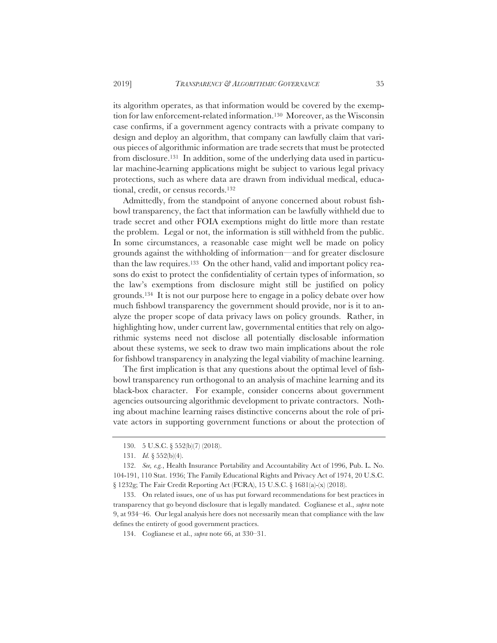its algorithm operates, as that information would be covered by the exemption for law enforcement-related information.<sup>130</sup> Moreover, as the Wisconsin case confirms, if a government agency contracts with a private company to design and deploy an algorithm, that company can lawfully claim that various pieces of algorithmic information are trade secrets that must be protected from disclosure.131 In addition, some of the underlying data used in particular machine-learning applications might be subject to various legal privacy protections, such as where data are drawn from individual medical, educational, credit, or census records.132

Admittedly, from the standpoint of anyone concerned about robust fishbowl transparency, the fact that information can be lawfully withheld due to trade secret and other FOIA exemptions might do little more than restate the problem. Legal or not, the information is still withheld from the public. In some circumstances, a reasonable case might well be made on policy grounds against the withholding of information—and for greater disclosure than the law requires.133 On the other hand, valid and important policy reasons do exist to protect the confidentiality of certain types of information, so the law's exemptions from disclosure might still be justified on policy grounds.134 It is not our purpose here to engage in a policy debate over how much fishbowl transparency the government should provide, nor is it to analyze the proper scope of data privacy laws on policy grounds. Rather, in highlighting how, under current law, governmental entities that rely on algorithmic systems need not disclose all potentially disclosable information about these systems, we seek to draw two main implications about the role for fishbowl transparency in analyzing the legal viability of machine learning.

The first implication is that any questions about the optimal level of fishbowl transparency run orthogonal to an analysis of machine learning and its black-box character. For example, consider concerns about government agencies outsourcing algorithmic development to private contractors. Nothing about machine learning raises distinctive concerns about the role of private actors in supporting government functions or about the protection of

<sup>130. 5</sup> U.S.C. § 552(b)(7) (2018).

<sup>131.</sup> *Id.* § 552(b)(4).

<sup>132.</sup> *See, e.g.*, Health Insurance Portability and Accountability Act of 1996, Pub. L. No. 104-191, 110 Stat. 1936; The Family Educational Rights and Privacy Act of 1974, 20 U.S.C. § 1232g; The Fair Credit Reporting Act (FCRA), 15 U.S.C. § 1681(a)-(x) (2018).

<sup>133.</sup> On related issues, one of us has put forward recommendations for best practices in transparency that go beyond disclosure that is legally mandated. Coglianese et al., *supra* note 9, at 934–46. Our legal analysis here does not necessarily mean that compliance with the law defines the entirety of good government practices.

<sup>134.</sup> Coglianese et al., *supra* note 66, at 330–31.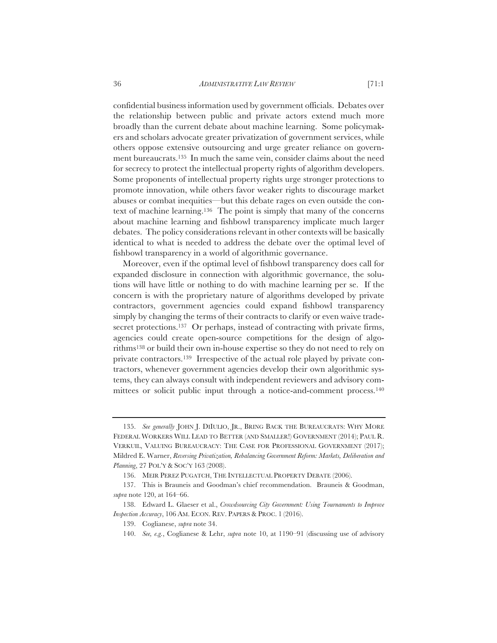confidential business information used by government officials. Debates over the relationship between public and private actors extend much more broadly than the current debate about machine learning. Some policymakers and scholars advocate greater privatization of government services, while others oppose extensive outsourcing and urge greater reliance on government bureaucrats.135 In much the same vein, consider claims about the need for secrecy to protect the intellectual property rights of algorithm developers. Some proponents of intellectual property rights urge stronger protections to promote innovation, while others favor weaker rights to discourage market abuses or combat inequities—but this debate rages on even outside the context of machine learning.136 The point is simply that many of the concerns about machine learning and fishbowl transparency implicate much larger debates. The policy considerations relevant in other contexts will be basically identical to what is needed to address the debate over the optimal level of fishbowl transparency in a world of algorithmic governance.

Moreover, even if the optimal level of fishbowl transparency does call for expanded disclosure in connection with algorithmic governance, the solutions will have little or nothing to do with machine learning per se. If the concern is with the proprietary nature of algorithms developed by private contractors, government agencies could expand fishbowl transparency simply by changing the terms of their contracts to clarify or even waive tradesecret protections.<sup>137</sup> Or perhaps, instead of contracting with private firms, agencies could create open-source competitions for the design of algorithms138 or build their own in-house expertise so they do not need to rely on private contractors.139 Irrespective of the actual role played by private contractors, whenever government agencies develop their own algorithmic systems, they can always consult with independent reviewers and advisory committees or solicit public input through a notice-and-comment process.<sup>140</sup>

<sup>135.</sup> *See generally* JOHN J. DIIULIO, JR., BRING BACK THE BUREAUCRATS: WHY MORE FEDERAL WORKERS WILL LEAD TO BETTER (AND SMALLER!) GOVERNMENT (2014); PAUL R. VERKUIL, VALUING BUREAUCRACY: THE CASE FOR PROFESSIONAL GOVERNMENT (2017); Mildred E. Warner, *Reversing Privatization, Rebalancing Government Reform: Markets, Deliberation and Planning*, 27 POL'Y & SOC'Y 163 (2008).

<sup>136.</sup> MEIR PEREZ PUGATCH, THE INTELLECTUAL PROPERTY DEBATE (2006).

<sup>137.</sup> This is Brauneis and Goodman's chief recommendation. Brauneis & Goodman, *supra* note 120, at 164–66.

<sup>138.</sup> Edward L. Glaeser et al., *Crowdsourcing City Government: Using Tournaments to Improve Inspection Accuracy*, 106 AM. ECON. REV. PAPERS & PROC. 1 (2016).

<sup>139.</sup> Coglianese, *supra* note 34.

<sup>140.</sup> *See, e.g.*, Coglianese & Lehr, *supra* note 10, at 1190–91 (discussing use of advisory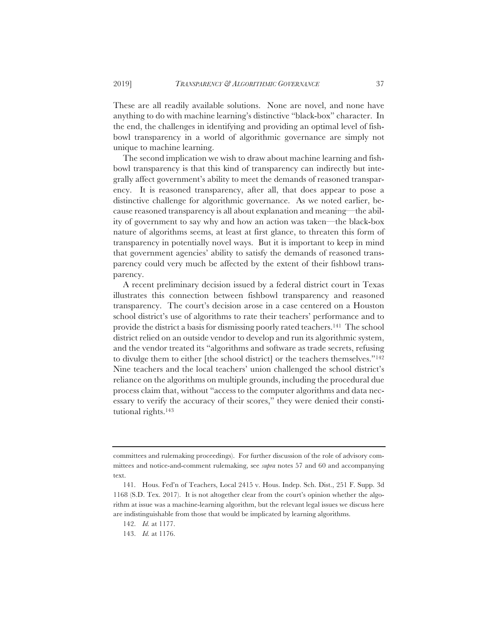These are all readily available solutions. None are novel, and none have anything to do with machine learning's distinctive "black-box" character. In the end, the challenges in identifying and providing an optimal level of fishbowl transparency in a world of algorithmic governance are simply not unique to machine learning.

The second implication we wish to draw about machine learning and fishbowl transparency is that this kind of transparency can indirectly but integrally affect government's ability to meet the demands of reasoned transparency. It is reasoned transparency, after all, that does appear to pose a distinctive challenge for algorithmic governance. As we noted earlier, because reasoned transparency is all about explanation and meaning—the ability of government to say why and how an action was taken—the black-box nature of algorithms seems, at least at first glance, to threaten this form of transparency in potentially novel ways. But it is important to keep in mind that government agencies' ability to satisfy the demands of reasoned transparency could very much be affected by the extent of their fishbowl transparency.

A recent preliminary decision issued by a federal district court in Texas illustrates this connection between fishbowl transparency and reasoned transparency. The court's decision arose in a case centered on a Houston school district's use of algorithms to rate their teachers' performance and to provide the district a basis for dismissing poorly rated teachers.141 The school district relied on an outside vendor to develop and run its algorithmic system, and the vendor treated its "algorithms and software as trade secrets, refusing to divulge them to either [the school district] or the teachers themselves."142 Nine teachers and the local teachers' union challenged the school district's reliance on the algorithms on multiple grounds, including the procedural due process claim that, without "access to the computer algorithms and data necessary to verify the accuracy of their scores," they were denied their constitutional rights.143

committees and rulemaking proceedings). For further discussion of the role of advisory committees and notice-and-comment rulemaking, see *supra* notes 57 and 60 and accompanying text.

<sup>141.</sup> Hous. Fed'n of Teachers, Local 2415 v. Hous. Indep. Sch. Dist., 251 F. Supp. 3d 1168 (S.D. Tex. 2017). It is not altogether clear from the court's opinion whether the algorithm at issue was a machine-learning algorithm, but the relevant legal issues we discuss here are indistinguishable from those that would be implicated by learning algorithms.

<sup>142.</sup> *Id.* at 1177.

<sup>143.</sup> *Id.* at 1176.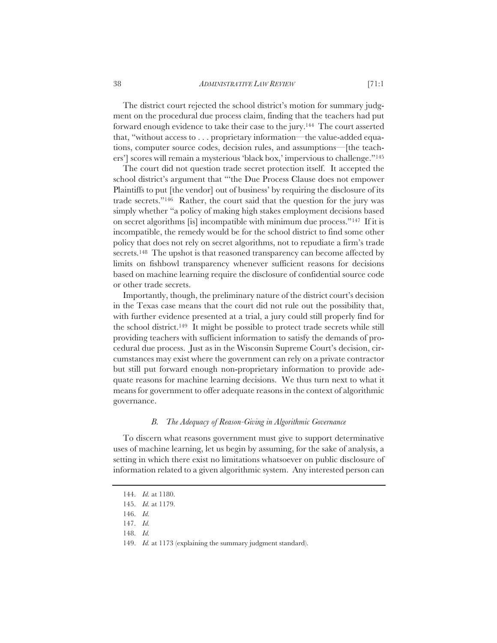The district court rejected the school district's motion for summary judgment on the procedural due process claim, finding that the teachers had put forward enough evidence to take their case to the jury.144 The court asserted that, "without access to . . . proprietary information—the value-added equations, computer source codes, decision rules, and assumptions—[the teachers'] scores will remain a mysterious 'black box,' impervious to challenge."145

The court did not question trade secret protection itself. It accepted the school district's argument that "'the Due Process Clause does not empower Plaintiffs to put [the vendor] out of business' by requiring the disclosure of its trade secrets."146 Rather, the court said that the question for the jury was simply whether "a policy of making high stakes employment decisions based on secret algorithms [is] incompatible with minimum due process."147 If it is incompatible, the remedy would be for the school district to find some other policy that does not rely on secret algorithms, not to repudiate a firm's trade secrets.<sup>148</sup> The upshot is that reasoned transparency can become affected by limits on fishbowl transparency whenever sufficient reasons for decisions based on machine learning require the disclosure of confidential source code or other trade secrets.

Importantly, though, the preliminary nature of the district court's decision in the Texas case means that the court did not rule out the possibility that, with further evidence presented at a trial, a jury could still properly find for the school district.149 It might be possible to protect trade secrets while still providing teachers with sufficient information to satisfy the demands of procedural due process. Just as in the Wisconsin Supreme Court's decision, circumstances may exist where the government can rely on a private contractor but still put forward enough non-proprietary information to provide adequate reasons for machine learning decisions. We thus turn next to what it means for government to offer adequate reasons in the context of algorithmic governance.

## *B. The Adequacy of Reason-Giving in Algorithmic Governance*

To discern what reasons government must give to support determinative uses of machine learning, let us begin by assuming, for the sake of analysis, a setting in which there exist no limitations whatsoever on public disclosure of information related to a given algorithmic system. Any interested person can

<sup>144.</sup> *Id.* at 1180.

<sup>145.</sup> *Id.* at 1179.

<sup>146.</sup> *Id.*

<sup>147.</sup> *Id.*

<sup>148.</sup> *Id.*

<sup>149.</sup> *Id.* at 1173 (explaining the summary judgment standard).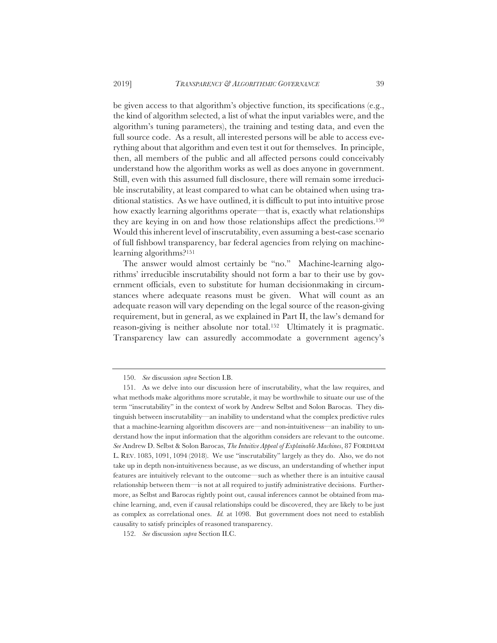be given access to that algorithm's objective function, its specifications (e.g., the kind of algorithm selected, a list of what the input variables were, and the algorithm's tuning parameters), the training and testing data, and even the full source code. As a result, all interested persons will be able to access everything about that algorithm and even test it out for themselves. In principle, then, all members of the public and all affected persons could conceivably understand how the algorithm works as well as does anyone in government. Still, even with this assumed full disclosure, there will remain some irreducible inscrutability, at least compared to what can be obtained when using traditional statistics. As we have outlined, it is difficult to put into intuitive prose how exactly learning algorithms operate—that is, exactly what relationships they are keying in on and how those relationships affect the predictions.150 Would this inherent level of inscrutability, even assuming a best-case scenario of full fishbowl transparency, bar federal agencies from relying on machinelearning algorithms?151

The answer would almost certainly be "no." Machine-learning algorithms' irreducible inscrutability should not form a bar to their use by government officials, even to substitute for human decisionmaking in circumstances where adequate reasons must be given. What will count as an adequate reason will vary depending on the legal source of the reason-giving requirement, but in general, as we explained in Part II, the law's demand for reason-giving is neither absolute nor total.152 Ultimately it is pragmatic. Transparency law can assuredly accommodate a government agency's

<sup>150.</sup> *See* discussion *supra* Section I.B.

<sup>151.</sup> As we delve into our discussion here of inscrutability, what the law requires, and what methods make algorithms more scrutable, it may be worthwhile to situate our use of the term "inscrutability" in the context of work by Andrew Selbst and Solon Barocas. They distinguish between inscrutability—an inability to understand what the complex predictive rules that a machine-learning algorithm discovers are—and non-intuitiveness—an inability to understand how the input information that the algorithm considers are relevant to the outcome. *See* Andrew D. Selbst & Solon Barocas, *The Intuitive Appeal of Explainable Machines*, 87 FORDHAM L. REV. 1085, 1091, 1094 (2018). We use "inscrutability" largely as they do. Also, we do not take up in depth non-intuitiveness because, as we discuss, an understanding of whether input features are intuitively relevant to the outcome—such as whether there is an intuitive causal relationship between them—is not at all required to justify administrative decisions. Furthermore, as Selbst and Barocas rightly point out, causal inferences cannot be obtained from machine learning, and, even if causal relationships could be discovered, they are likely to be just as complex as correlational ones. *Id.* at 1098. But government does not need to establish causality to satisfy principles of reasoned transparency.

<sup>152.</sup> *See* discussion *supra* Section II.C.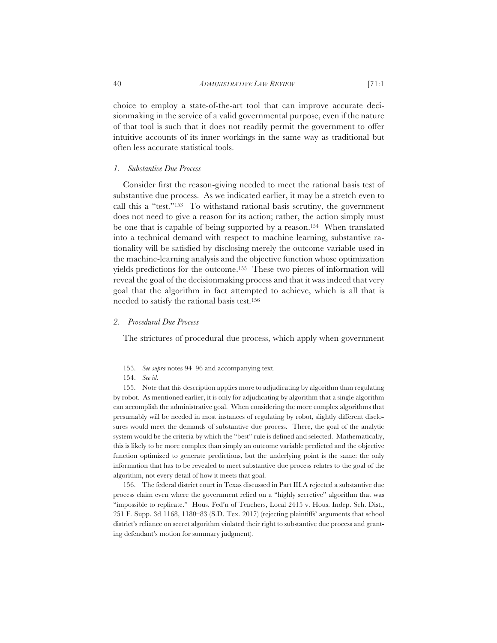choice to employ a state-of-the-art tool that can improve accurate decisionmaking in the service of a valid governmental purpose, even if the nature of that tool is such that it does not readily permit the government to offer intuitive accounts of its inner workings in the same way as traditional but often less accurate statistical tools.

# *1. Substantive Due Process*

Consider first the reason-giving needed to meet the rational basis test of substantive due process. As we indicated earlier, it may be a stretch even to call this a "test."153 To withstand rational basis scrutiny, the government does not need to give a reason for its action; rather, the action simply must be one that is capable of being supported by a reason.154 When translated into a technical demand with respect to machine learning, substantive rationality will be satisfied by disclosing merely the outcome variable used in the machine-learning analysis and the objective function whose optimization yields predictions for the outcome.155 These two pieces of information will reveal the goal of the decisionmaking process and that it was indeed that very goal that the algorithm in fact attempted to achieve, which is all that is needed to satisfy the rational basis test.156

# *2. Procedural Due Process*

The strictures of procedural due process, which apply when government

156. The federal district court in Texas discussed in Part III.A rejected a substantive due process claim even where the government relied on a "highly secretive" algorithm that was "impossible to replicate." Hous. Fed'n of Teachers, Local 2415 v. Hous. Indep. Sch. Dist., 251 F. Supp. 3d 1168, 1180–83 (S.D. Tex. 2017) (rejecting plaintiffs' arguments that school district's reliance on secret algorithm violated their right to substantive due process and granting defendant's motion for summary judgment).

<sup>153.</sup> *See supra* notes 94–96 and accompanying text.

<sup>154.</sup> *See id.*

<sup>155.</sup> Note that this description applies more to adjudicating by algorithm than regulating by robot. As mentioned earlier, it is only for adjudicating by algorithm that a single algorithm can accomplish the administrative goal. When considering the more complex algorithms that presumably will be needed in most instances of regulating by robot, slightly different disclosures would meet the demands of substantive due process. There, the goal of the analytic system would be the criteria by which the "best" rule is defined and selected. Mathematically, this is likely to be more complex than simply an outcome variable predicted and the objective function optimized to generate predictions, but the underlying point is the same: the only information that has to be revealed to meet substantive due process relates to the goal of the algorithm, not every detail of how it meets that goal.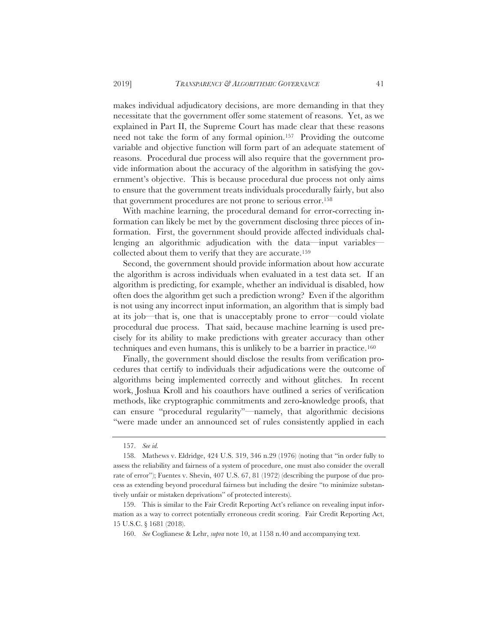makes individual adjudicatory decisions, are more demanding in that they necessitate that the government offer some statement of reasons. Yet, as we explained in Part II, the Supreme Court has made clear that these reasons need not take the form of any formal opinion.157 Providing the outcome variable and objective function will form part of an adequate statement of reasons. Procedural due process will also require that the government provide information about the accuracy of the algorithm in satisfying the government's objective. This is because procedural due process not only aims to ensure that the government treats individuals procedurally fairly, but also that government procedures are not prone to serious error.158

With machine learning, the procedural demand for error-correcting information can likely be met by the government disclosing three pieces of information. First, the government should provide affected individuals challenging an algorithmic adjudication with the data—input variables collected about them to verify that they are accurate.159

Second, the government should provide information about how accurate the algorithm is across individuals when evaluated in a test data set. If an algorithm is predicting, for example, whether an individual is disabled, how often does the algorithm get such a prediction wrong? Even if the algorithm is not using any incorrect input information, an algorithm that is simply bad at its job—that is, one that is unacceptably prone to error—could violate procedural due process. That said, because machine learning is used precisely for its ability to make predictions with greater accuracy than other techniques and even humans, this is unlikely to be a barrier in practice.160

Finally, the government should disclose the results from verification procedures that certify to individuals their adjudications were the outcome of algorithms being implemented correctly and without glitches. In recent work, Joshua Kroll and his coauthors have outlined a series of verification methods, like cryptographic commitments and zero-knowledge proofs, that can ensure "procedural regularity"—namely, that algorithmic decisions "were made under an announced set of rules consistently applied in each

<sup>157.</sup> *See id.*

<sup>158.</sup> Mathews v. Eldridge, 424 U.S. 319, 346 n.29 (1976) (noting that "in order fully to assess the reliability and fairness of a system of procedure, one must also consider the overall rate of error"); Fuentes v. Shevin, 407 U.S. 67, 81 (1972) (describing the purpose of due process as extending beyond procedural fairness but including the desire "to minimize substantively unfair or mistaken deprivations" of protected interests).

<sup>159.</sup> This is similar to the Fair Credit Reporting Act's reliance on revealing input information as a way to correct potentially erroneous credit scoring. Fair Credit Reporting Act, 15 U.S.C. § 1681 (2018).

<sup>160.</sup> *See* Coglianese & Lehr, *supra* note 10, at 1158 n.40 and accompanying text.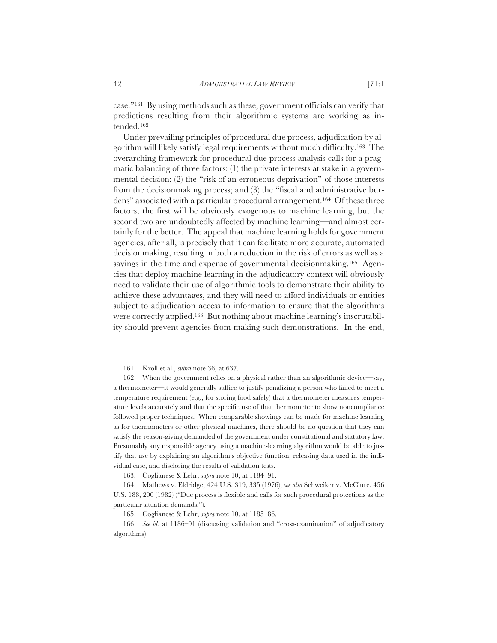case."161 By using methods such as these, government officials can verify that predictions resulting from their algorithmic systems are working as intended.162

Under prevailing principles of procedural due process, adjudication by algorithm will likely satisfy legal requirements without much difficulty.163 The overarching framework for procedural due process analysis calls for a pragmatic balancing of three factors: (1) the private interests at stake in a governmental decision; (2) the "risk of an erroneous deprivation" of those interests from the decisionmaking process; and (3) the "fiscal and administrative burdens" associated with a particular procedural arrangement.<sup>164</sup> Of these three factors, the first will be obviously exogenous to machine learning, but the second two are undoubtedly affected by machine learning—and almost certainly for the better. The appeal that machine learning holds for government agencies, after all, is precisely that it can facilitate more accurate, automated decisionmaking, resulting in both a reduction in the risk of errors as well as a savings in the time and expense of governmental decisionmaking.<sup>165</sup> Agencies that deploy machine learning in the adjudicatory context will obviously need to validate their use of algorithmic tools to demonstrate their ability to achieve these advantages, and they will need to afford individuals or entities subject to adjudication access to information to ensure that the algorithms were correctly applied.166 But nothing about machine learning's inscrutability should prevent agencies from making such demonstrations. In the end,

163. Coglianese & Lehr, *supra* note 10, at 1184–91.

<sup>161.</sup> Kroll et al., *supra* note 36, at 637.

<sup>162.</sup> When the government relies on a physical rather than an algorithmic device—say, a thermometer—it would generally suffice to justify penalizing a person who failed to meet a temperature requirement (e.g., for storing food safely) that a thermometer measures temperature levels accurately and that the specific use of that thermometer to show noncompliance followed proper techniques. When comparable showings can be made for machine learning as for thermometers or other physical machines, there should be no question that they can satisfy the reason-giving demanded of the government under constitutional and statutory law. Presumably any responsible agency using a machine-learning algorithm would be able to justify that use by explaining an algorithm's objective function, releasing data used in the individual case, and disclosing the results of validation tests.

<sup>164.</sup> Mathews v. Eldridge, 424 U.S. 319, 335 (1976); *see also* Schweiker v. McClure, 456 U.S. 188, 200 (1982) ("Due process is flexible and calls for such procedural protections as the particular situation demands.").

<sup>165.</sup> Coglianese & Lehr, *supra* note 10, at 1185–86.

<sup>166.</sup> *See id.* at 1186–91 (discussing validation and "cross-examination" of adjudicatory algorithms).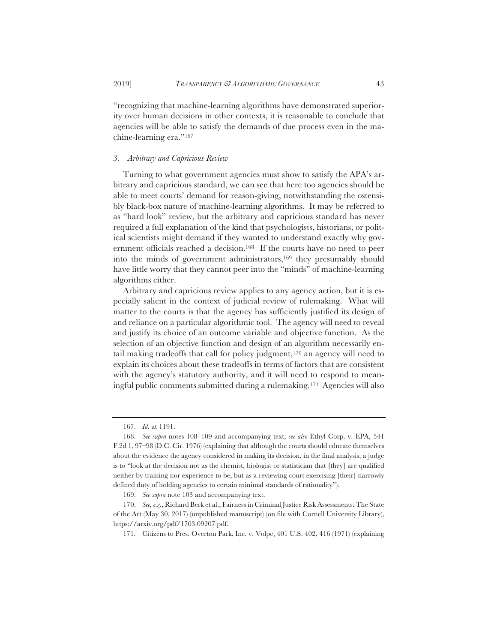"recognizing that machine-learning algorithms have demonstrated superiority over human decisions in other contexts, it is reasonable to conclude that agencies will be able to satisfy the demands of due process even in the machine-learning era."167

#### *3. Arbitrary and Capricious Review*

Turning to what government agencies must show to satisfy the APA's arbitrary and capricious standard, we can see that here too agencies should be able to meet courts' demand for reason-giving, notwithstanding the ostensibly black-box nature of machine-learning algorithms. It may be referred to as "hard look" review, but the arbitrary and capricious standard has never required a full explanation of the kind that psychologists, historians, or political scientists might demand if they wanted to understand exactly why government officials reached a decision.168 If the courts have no need to peer into the minds of government administrators,<sup>169</sup> they presumably should have little worry that they cannot peer into the "minds" of machine-learning algorithms either.

Arbitrary and capricious review applies to any agency action, but it is especially salient in the context of judicial review of rulemaking. What will matter to the courts is that the agency has sufficiently justified its design of and reliance on a particular algorithmic tool. The agency will need to reveal and justify its choice of an outcome variable and objective function. As the selection of an objective function and design of an algorithm necessarily entail making tradeoffs that call for policy judgment,170 an agency will need to explain its choices about these tradeoffs in terms of factors that are consistent with the agency's statutory authority, and it will need to respond to meaningful public comments submitted during a rulemaking.171 Agencies will also

<sup>167.</sup> *Id.* at 1191.

<sup>168.</sup> *See supra* notes 108–109 and accompanying text; *see also* Ethyl Corp. v. EPA, 541 F.2d 1, 97–98 (D.C. Cir. 1976) (explaining that although the courts should educate themselves about the evidence the agency considered in making its decision, in the final analysis, a judge is to "look at the decision not as the chemist, biologist or statistician that [they] are qualified neither by training nor experience to be, but as a reviewing court exercising [their] narrowly defined duty of holding agencies to certain minimal standards of rationality").

<sup>169.</sup> *See supra* note 103 and accompanying text.

<sup>170.</sup> *See, e.g.*, Richard Berk et al., Fairness in Criminal Justice Risk Assessments: The State of the Art (May 30, 2017) (unpublished manuscript) (on file with Cornell University Library), https://arxiv.org/pdf/1703.09207.pdf.

<sup>171.</sup> Citizens to Pres. Overton Park, Inc. v. Volpe, 401 U.S. 402, 416 (1971) (explaining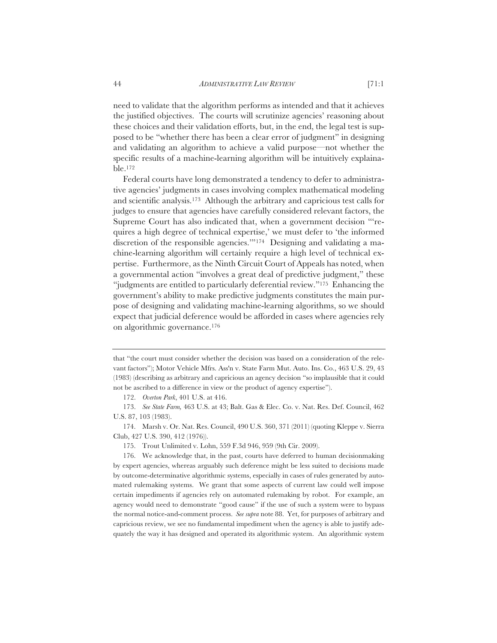need to validate that the algorithm performs as intended and that it achieves the justified objectives. The courts will scrutinize agencies' reasoning about these choices and their validation efforts, but, in the end, the legal test is supposed to be "whether there has been a clear error of judgment" in designing and validating an algorithm to achieve a valid purpose—not whether the specific results of a machine-learning algorithm will be intuitively explainable.172

Federal courts have long demonstrated a tendency to defer to administrative agencies' judgments in cases involving complex mathematical modeling and scientific analysis.173 Although the arbitrary and capricious test calls for judges to ensure that agencies have carefully considered relevant factors, the Supreme Court has also indicated that, when a government decision "'requires a high degree of technical expertise,' we must defer to 'the informed discretion of the responsible agencies.'"174 Designing and validating a machine-learning algorithm will certainly require a high level of technical expertise. Furthermore, as the Ninth Circuit Court of Appeals has noted, when a governmental action "involves a great deal of predictive judgment," these "judgments are entitled to particularly deferential review."175 Enhancing the government's ability to make predictive judgments constitutes the main purpose of designing and validating machine-learning algorithms, so we should expect that judicial deference would be afforded in cases where agencies rely on algorithmic governance.176

that "the court must consider whether the decision was based on a consideration of the relevant factors"); Motor Vehicle Mfrs. Ass'n v. State Farm Mut. Auto. Ins. Co., 463 U.S. 29, 43 (1983) (describing as arbitrary and capricious an agency decision "so implausible that it could not be ascribed to a difference in view or the product of agency expertise").

<sup>172.</sup> *Overton Park*, 401 U.S. at 416.

<sup>173.</sup> *See State Farm,* 463 U.S. at 43; Balt. Gas & Elec. Co. v. Nat. Res. Def. Council, 462 U.S. 87, 103 (1983).

<sup>174.</sup> Marsh v. Or. Nat. Res. Council, 490 U.S. 360, 371 (2011) (quoting Kleppe v. Sierra Club, 427 U.S. 390, 412 (1976)).

<sup>175.</sup> Trout Unlimited v. Lohn, 559 F.3d 946, 959 (9th Cir. 2009).

<sup>176.</sup> We acknowledge that, in the past, courts have deferred to human decisionmaking by expert agencies, whereas arguably such deference might be less suited to decisions made by outcome-determinative algorithmic systems, especially in cases of rules generated by automated rulemaking systems. We grant that some aspects of current law could well impose certain impediments if agencies rely on automated rulemaking by robot. For example, an agency would need to demonstrate "good cause" if the use of such a system were to bypass the normal notice-and-comment process. *See supra* note 88. Yet, for purposes of arbitrary and capricious review, we see no fundamental impediment when the agency is able to justify adequately the way it has designed and operated its algorithmic system. An algorithmic system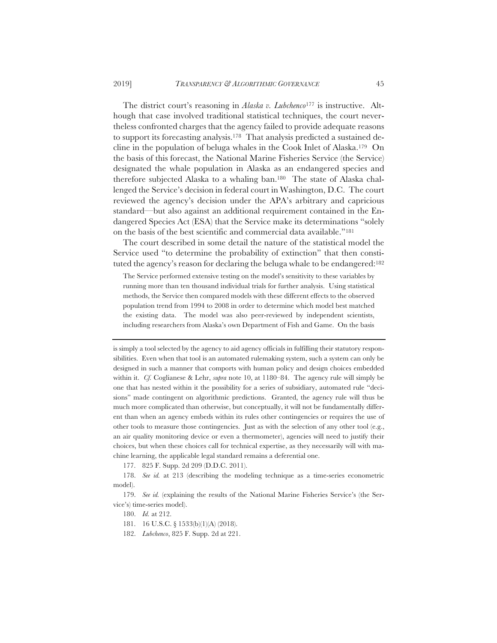The district court's reasoning in *Alaska v. Lubchenco*177 is instructive. Although that case involved traditional statistical techniques, the court nevertheless confronted charges that the agency failed to provide adequate reasons to support its forecasting analysis.178 That analysis predicted a sustained decline in the population of beluga whales in the Cook Inlet of Alaska.179 On the basis of this forecast, the National Marine Fisheries Service (the Service) designated the whale population in Alaska as an endangered species and therefore subjected Alaska to a whaling ban.180 The state of Alaska challenged the Service's decision in federal court in Washington, D.C. The court reviewed the agency's decision under the APA's arbitrary and capricious standard—but also against an additional requirement contained in the Endangered Species Act (ESA) that the Service make its determinations "solely on the basis of the best scientific and commercial data available."181

The court described in some detail the nature of the statistical model the Service used "to determine the probability of extinction" that then constituted the agency's reason for declaring the beluga whale to be endangered:182

The Service performed extensive testing on the model's sensitivity to these variables by running more than ten thousand individual trials for further analysis. Using statistical methods, the Service then compared models with these different effects to the observed population trend from 1994 to 2008 in order to determine which model best matched the existing data. The model was also peer-reviewed by independent scientists, including researchers from Alaska's own Department of Fish and Game. On the basis

is simply a tool selected by the agency to aid agency officials in fulfilling their statutory responsibilities. Even when that tool is an automated rulemaking system, such a system can only be designed in such a manner that comports with human policy and design choices embedded within it. *Cf.* Coglianese & Lehr, *supra* note 10, at 1180–84. The agency rule will simply be one that has nested within it the possibility for a series of subsidiary, automated rule "decisions" made contingent on algorithmic predictions. Granted, the agency rule will thus be much more complicated than otherwise, but conceptually, it will not be fundamentally different than when an agency embeds within its rules other contingencies or requires the use of other tools to measure those contingencies. Just as with the selection of any other tool (e.g., an air quality monitoring device or even a thermometer), agencies will need to justify their choices, but when these choices call for technical expertise, as they necessarily will with machine learning, the applicable legal standard remains a deferential one.

177. 825 F. Supp. 2d 209 (D.D.C. 2011).

178. *See id.* at 213 (describing the modeling technique as a time-series econometric model).

179. *See id.* (explaining the results of the National Marine Fisheries Service's (the Service's) time-series model).

180. *Id.* at 212.

181. 16 U.S.C. § 1533(b)(1)(A) (2018).

182. *Lubchenco*, 825 F. Supp. 2d at 221.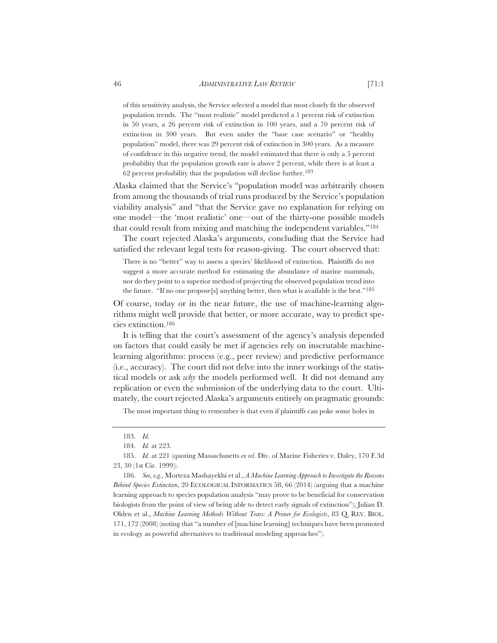of this sensitivity analysis, the Service selected a model that most closely fit the observed population trends. The "most realistic" model predicted a 1 percent risk of extinction in 50 years, a 26 percent risk of extinction in 100 years, and a 70 percent risk of extinction in 300 years. But even under the "base case scenario" or "healthy population" model, there was 29 percent risk of extinction in 300 years. As a measure of confidence in this negative trend, the model estimated that there is only a 5 percent probability that the population growth rate is above 2 percent, while there is at least a 62 percent probability that the population will decline further.183

Alaska claimed that the Service's "population model was arbitrarily chosen from among the thousands of trial runs produced by the Service's population viability analysis" and "that the Service gave no explanation for relying on one model—the 'most realistic' one—out of the thirty-one possible models that could result from mixing and matching the independent variables."184

The court rejected Alaska's arguments, concluding that the Service had satisfied the relevant legal tests for reason-giving. The court observed that:

There is no "better" way to assess a species' likelihood of extinction. Plaintiffs do not suggest a more accurate method for estimating the abundance of marine mammals, nor do they point to a superior method of projecting the observed population trend into the future. "If no one propose[s] anything better, then what is available is the best."185

Of course, today or in the near future, the use of machine-learning algorithms might well provide that better, or more accurate, way to predict species extinction.186

 It is telling that the court's assessment of the agency's analysis depended on factors that could easily be met if agencies rely on inscrutable machinelearning algorithms: process (e.g., peer review) and predictive performance (i.e., accuracy). The court did not delve into the inner workings of the statistical models or ask *why* the models performed well. It did not demand any replication or even the submission of the underlying data to the court. Ultimately, the court rejected Alaska's arguments entirely on pragmatic grounds:

The most important thing to remember is that even if plaintiffs can poke some holes in

<sup>183.</sup> *Id.*

<sup>184.</sup> *Id.* at 223.

<sup>185.</sup> *Id.* at 221 (quoting Massachusetts *ex rel.* Div. of Marine Fisheries v. Daley, 170 F.3d 23, 30 (1st Cir. 1999)).

<sup>186.</sup> *See, e.g.*, Morteza Mashayekhi et al., *A Machine Learning Approach to Investigate the Reasons Behind Species Extinction*, 20 ECOLOGICAL INFORMATICS 58, 66 (2014) (arguing that a machine learning approach to species population analysis "may prove to be beneficial for conservation biologists from the point of view of being able to detect early signals of extinction"); Julian D. Olden et al., *Machine Learning Methods Without Tears: A Primer for Ecologists*, 83 Q. REV. BIOL. 171, 172 (2008) (noting that "a number of [machine learning] techniques have been promoted in ecology as powerful alternatives to traditional modeling approaches").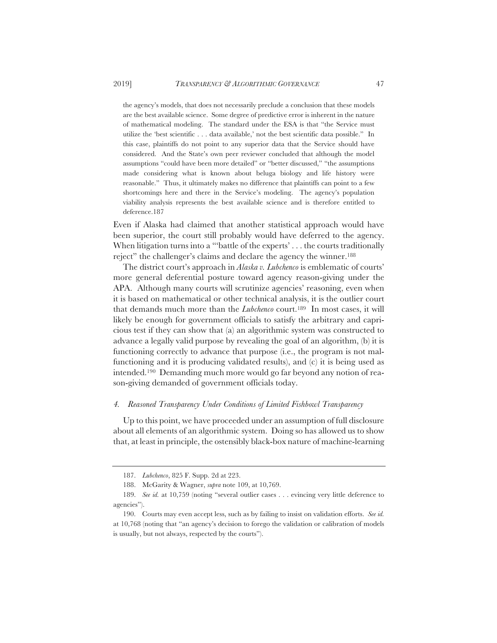the agency's models, that does not necessarily preclude a conclusion that these models are the best available science. Some degree of predictive error is inherent in the nature of mathematical modeling. The standard under the ESA is that "the Service must utilize the 'best scientific . . . data available,' not the best scientific data possible." In this case, plaintiffs do not point to any superior data that the Service should have considered. And the State's own peer reviewer concluded that although the model assumptions "could have been more detailed" or "better discussed," "the assumptions made considering what is known about beluga biology and life history were reasonable." Thus, it ultimately makes no difference that plaintiffs can point to a few shortcomings here and there in the Service's modeling. The agency's population viability analysis represents the best available science and is therefore entitled to deference.187

Even if Alaska had claimed that another statistical approach would have been superior, the court still probably would have deferred to the agency. When litigation turns into a "'battle of the experts' . . . the courts traditionally reject" the challenger's claims and declare the agency the winner.188

The district court's approach in *Alaska v. Lubchenco* is emblematic of courts' more general deferential posture toward agency reason-giving under the APA. Although many courts will scrutinize agencies' reasoning, even when it is based on mathematical or other technical analysis, it is the outlier court that demands much more than the *Lubchenco* court.189 In most cases, it will likely be enough for government officials to satisfy the arbitrary and capricious test if they can show that (a) an algorithmic system was constructed to advance a legally valid purpose by revealing the goal of an algorithm, (b) it is functioning correctly to advance that purpose (i.e., the program is not malfunctioning and it is producing validated results), and (c) it is being used as intended.190 Demanding much more would go far beyond any notion of reason-giving demanded of government officials today.

#### *4. Reasoned Transparency Under Conditions of Limited Fishbowl Transparency*

Up to this point, we have proceeded under an assumption of full disclosure about all elements of an algorithmic system. Doing so has allowed us to show that, at least in principle, the ostensibly black-box nature of machine-learning

<sup>187.</sup> *Lubchenco*, 825 F. Supp. 2d at 223.

<sup>188.</sup> McGarity & Wagner, *supra* note 109, at 10,769.

<sup>189.</sup> *See id.* at 10,759 (noting "several outlier cases . . . evincing very little deference to agencies").

<sup>190.</sup> Courts may even accept less, such as by failing to insist on validation efforts. *See id.* at 10,768 (noting that "an agency's decision to forego the validation or calibration of models is usually, but not always, respected by the courts").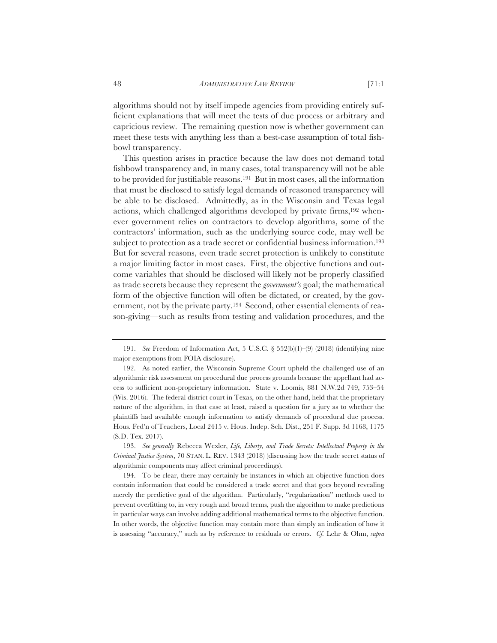algorithms should not by itself impede agencies from providing entirely sufficient explanations that will meet the tests of due process or arbitrary and capricious review. The remaining question now is whether government can meet these tests with anything less than a best-case assumption of total fishbowl transparency.

This question arises in practice because the law does not demand total fishbowl transparency and, in many cases, total transparency will not be able to be provided for justifiable reasons.191 But in most cases, all the information that must be disclosed to satisfy legal demands of reasoned transparency will be able to be disclosed. Admittedly, as in the Wisconsin and Texas legal actions, which challenged algorithms developed by private firms,192 whenever government relies on contractors to develop algorithms, some of the contractors' information, such as the underlying source code, may well be subject to protection as a trade secret or confidential business information.<sup>193</sup> But for several reasons, even trade secret protection is unlikely to constitute a major limiting factor in most cases. First, the objective functions and outcome variables that should be disclosed will likely not be properly classified as trade secrets because they represent the *government's* goal; the mathematical form of the objective function will often be dictated, or created, by the government, not by the private party.194 Second, other essential elements of reason-giving—such as results from testing and validation procedures, and the

193. *See generally* Rebecca Wexler, *Life, Liberty, and Trade Secrets: Intellectual Property in the Criminal Justice System*, 70 STAN. L. REV. 1343 (2018) (discussing how the trade secret status of algorithmic components may affect criminal proceedings).

194. To be clear, there may certainly be instances in which an objective function does contain information that could be considered a trade secret and that goes beyond revealing merely the predictive goal of the algorithm. Particularly, "regularization" methods used to prevent overfitting to, in very rough and broad terms, push the algorithm to make predictions in particular ways can involve adding additional mathematical terms to the objective function. In other words, the objective function may contain more than simply an indication of how it is assessing "accuracy," such as by reference to residuals or errors. *Cf.* Lehr & Ohm, *supra*

<sup>191.</sup> *See* Freedom of Information Act, 5 U.S.C. § 552(b)(1)–(9) (2018) (identifying nine major exemptions from FOIA disclosure).

<sup>192.</sup> As noted earlier, the Wisconsin Supreme Court upheld the challenged use of an algorithmic risk assessment on procedural due process grounds because the appellant had access to sufficient non-proprietary information. State v. Loomis, 881 N.W.2d 749, 753–54 (Wis. 2016). The federal district court in Texas, on the other hand, held that the proprietary nature of the algorithm, in that case at least, raised a question for a jury as to whether the plaintiffs had available enough information to satisfy demands of procedural due process. Hous. Fed'n of Teachers, Local 2415 v. Hous. Indep. Sch. Dist., 251 F. Supp. 3d 1168, 1175 (S.D. Tex. 2017).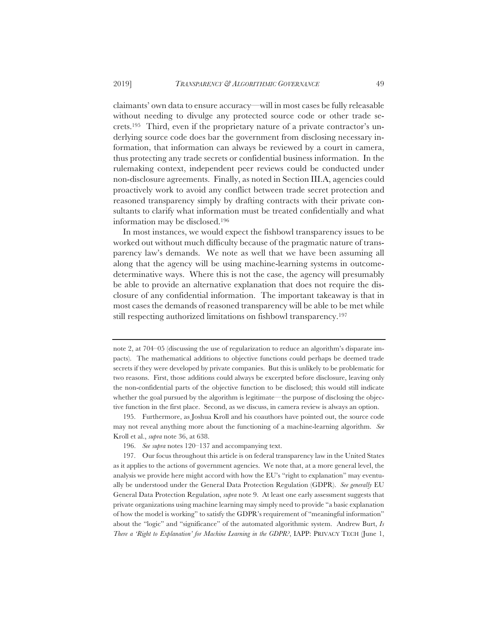claimants' own data to ensure accuracy—will in most cases be fully releasable without needing to divulge any protected source code or other trade secrets.195 Third, even if the proprietary nature of a private contractor's underlying source code does bar the government from disclosing necessary information, that information can always be reviewed by a court in camera, thus protecting any trade secrets or confidential business information. In the rulemaking context, independent peer reviews could be conducted under non-disclosure agreements. Finally, as noted in Section III.A, agencies could proactively work to avoid any conflict between trade secret protection and reasoned transparency simply by drafting contracts with their private consultants to clarify what information must be treated confidentially and what information may be disclosed.196

In most instances, we would expect the fishbowl transparency issues to be worked out without much difficulty because of the pragmatic nature of transparency law's demands. We note as well that we have been assuming all along that the agency will be using machine-learning systems in outcomedeterminative ways. Where this is not the case, the agency will presumably be able to provide an alternative explanation that does not require the disclosure of any confidential information. The important takeaway is that in most cases the demands of reasoned transparency will be able to be met while still respecting authorized limitations on fishbowl transparency.197

195. Furthermore, as Joshua Kroll and his coauthors have pointed out, the source code may not reveal anything more about the functioning of a machine-learning algorithm. *See* Kroll et al., *supra* note 36, at 638.

196. *See supra* notes 120–137 and accompanying text.

197. Our focus throughout this article is on federal transparency law in the United States as it applies to the actions of government agencies. We note that, at a more general level, the analysis we provide here might accord with how the EU's "right to explanation" may eventually be understood under the General Data Protection Regulation (GDPR). *See generally* EU General Data Protection Regulation, *supra* note 9. At least one early assessment suggests that private organizations using machine learning may simply need to provide "a basic explanation of how the model is working" to satisfy the GDPR's requirement of "meaningful information" about the "logic" and "significance" of the automated algorithmic system. Andrew Burt, *Is There a 'Right to Explanation' for Machine Learning in the GDPR?*, IAPP: PRIVACY TECH (June 1,

note 2, at 704–05 (discussing the use of regularization to reduce an algorithm's disparate impacts). The mathematical additions to objective functions could perhaps be deemed trade secrets if they were developed by private companies. But this is unlikely to be problematic for two reasons. First, those additions could always be excerpted before disclosure, leaving only the non-confidential parts of the objective function to be disclosed; this would still indicate whether the goal pursued by the algorithm is legitimate—the purpose of disclosing the objective function in the first place. Second, as we discuss, in camera review is always an option.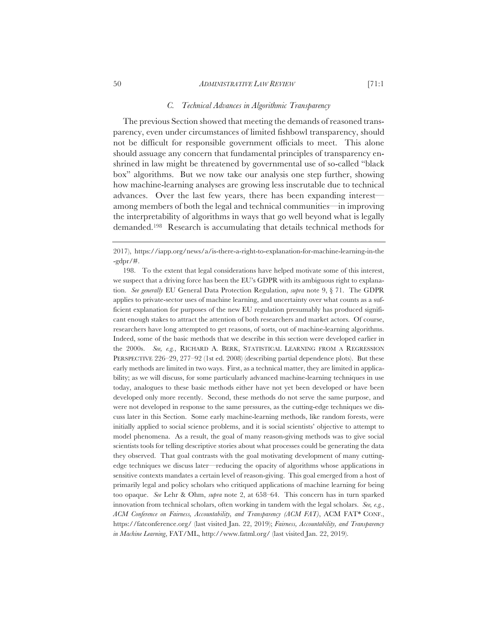#### 50 *ADMINISTRATIVE LAW REVIEW* [71:1

#### *C. Technical Advances in Algorithmic Transparency*

The previous Section showed that meeting the demands of reasoned transparency, even under circumstances of limited fishbowl transparency, should not be difficult for responsible government officials to meet. This alone should assuage any concern that fundamental principles of transparency enshrined in law might be threatened by governmental use of so-called "black box" algorithms. But we now take our analysis one step further, showing how machine-learning analyses are growing less inscrutable due to technical advances. Over the last few years, there has been expanding interest among members of both the legal and technical communities—in improving the interpretability of algorithms in ways that go well beyond what is legally demanded.198 Research is accumulating that details technical methods for

<sup>2017),</sup> https://iapp.org/news/a/is-there-a-right-to-explanation-for-machine-learning-in-the  $-gdpr/\#$ .

<sup>198.</sup> To the extent that legal considerations have helped motivate some of this interest, we suspect that a driving force has been the EU's GDPR with its ambiguous right to explanation. *See generally* EU General Data Protection Regulation, *supra* note 9, § 71. The GDPR applies to private-sector uses of machine learning, and uncertainty over what counts as a sufficient explanation for purposes of the new EU regulation presumably has produced significant enough stakes to attract the attention of both researchers and market actors. Of course, researchers have long attempted to get reasons, of sorts, out of machine-learning algorithms. Indeed, some of the basic methods that we describe in this section were developed earlier in the 2000s. *See, e.g.*, RICHARD A. BERK, STATISTICAL LEARNING FROM A REGRESSION PERSPECTIVE 226–29, 277–92 (1st ed. 2008) (describing partial dependence plots). But these early methods are limited in two ways. First, as a technical matter, they are limited in applicability; as we will discuss, for some particularly advanced machine-learning techniques in use today, analogues to these basic methods either have not yet been developed or have been developed only more recently. Second, these methods do not serve the same purpose, and were not developed in response to the same pressures, as the cutting-edge techniques we discuss later in this Section. Some early machine-learning methods, like random forests, were initially applied to social science problems, and it is social scientists' objective to attempt to model phenomena. As a result, the goal of many reason-giving methods was to give social scientists tools for telling descriptive stories about what processes could be generating the data they observed. That goal contrasts with the goal motivating development of many cuttingedge techniques we discuss later—reducing the opacity of algorithms whose applications in sensitive contexts mandates a certain level of reason-giving. This goal emerged from a host of primarily legal and policy scholars who critiqued applications of machine learning for being too opaque. *See* Lehr & Ohm, *supra* note 2, at 658–64. This concern has in turn sparked innovation from technical scholars, often working in tandem with the legal scholars. *See, e.g.*, *ACM Conference on Fairness, Accountability, and Transparency (ACM FAT)*, ACM FAT\* CONF., https://fatconference.org/ (last visited Jan. 22, 2019); *Fairness, Accountability, and Transparency in Machine Learning*, FAT/ML, http://www.fatml.org/ (last visited Jan. 22, 2019).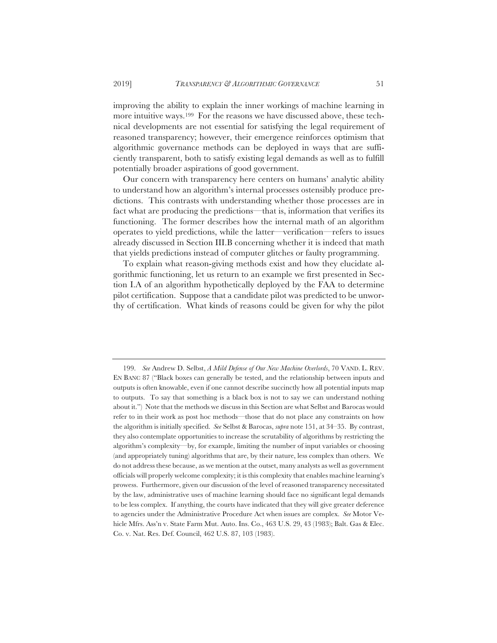improving the ability to explain the inner workings of machine learning in more intuitive ways.199 For the reasons we have discussed above, these technical developments are not essential for satisfying the legal requirement of reasoned transparency; however, their emergence reinforces optimism that algorithmic governance methods can be deployed in ways that are sufficiently transparent, both to satisfy existing legal demands as well as to fulfill potentially broader aspirations of good government.

Our concern with transparency here centers on humans' analytic ability to understand how an algorithm's internal processes ostensibly produce predictions. This contrasts with understanding whether those processes are in fact what are producing the predictions—that is, information that verifies its functioning. The former describes how the internal math of an algorithm operates to yield predictions, while the latter—verification—refers to issues already discussed in Section III.B concerning whether it is indeed that math that yields predictions instead of computer glitches or faulty programming.

To explain what reason-giving methods exist and how they elucidate algorithmic functioning, let us return to an example we first presented in Section I.A of an algorithm hypothetically deployed by the FAA to determine pilot certification. Suppose that a candidate pilot was predicted to be unworthy of certification. What kinds of reasons could be given for why the pilot

<sup>199.</sup> *See* Andrew D. Selbst, *A Mild Defense of Our New Machine Overlords*, 70 VAND. L. REV. EN BANC 87 ("Black boxes can generally be tested, and the relationship between inputs and outputs is often knowable, even if one cannot describe succinctly how all potential inputs map to outputs. To say that something is a black box is not to say we can understand nothing about it.") Note that the methods we discuss in this Section are what Selbst and Barocas would refer to in their work as post hoc methods—those that do not place any constraints on how the algorithm is initially specified. *See* Selbst & Barocas, *supra* note 151, at 34–35. By contrast, they also contemplate opportunities to increase the scrutability of algorithms by restricting the algorithm's complexity—by, for example, limiting the number of input variables or choosing (and appropriately tuning) algorithms that are, by their nature, less complex than others. We do not address these because, as we mention at the outset, many analysts as well as government officials will properly welcome complexity; it is this complexity that enables machine learning's prowess. Furthermore, given our discussion of the level of reasoned transparency necessitated by the law, administrative uses of machine learning should face no significant legal demands to be less complex. If anything, the courts have indicated that they will give greater deference to agencies under the Administrative Procedure Act when issues are complex. *See* Motor Vehicle Mfrs. Ass'n v. State Farm Mut. Auto. Ins. Co., 463 U.S. 29, 43 (1983); Balt. Gas & Elec. Co. v. Nat. Res. Def. Council, 462 U.S. 87, 103 (1983).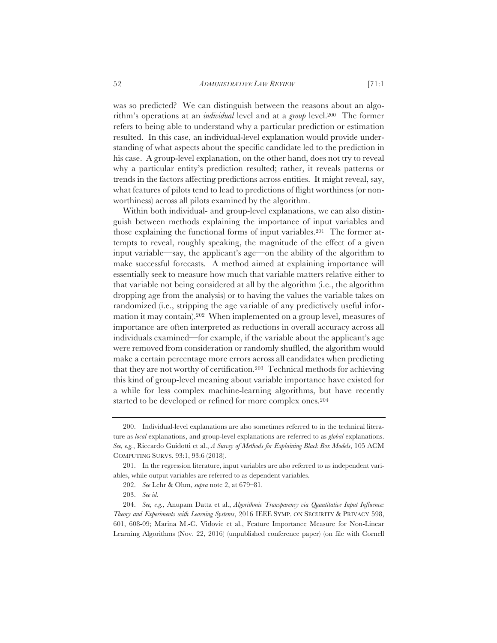was so predicted? We can distinguish between the reasons about an algorithm's operations at an *individual* level and at a *group* level.200 The former refers to being able to understand why a particular prediction or estimation resulted. In this case, an individual-level explanation would provide understanding of what aspects about the specific candidate led to the prediction in his case. A group-level explanation, on the other hand, does not try to reveal why a particular entity's prediction resulted; rather, it reveals patterns or trends in the factors affecting predictions across entities. It might reveal, say, what features of pilots tend to lead to predictions of flight worthiness (or nonworthiness) across all pilots examined by the algorithm.

Within both individual- and group-level explanations, we can also distinguish between methods explaining the importance of input variables and those explaining the functional forms of input variables.201 The former attempts to reveal, roughly speaking, the magnitude of the effect of a given input variable—say, the applicant's age—on the ability of the algorithm to make successful forecasts. A method aimed at explaining importance will essentially seek to measure how much that variable matters relative either to that variable not being considered at all by the algorithm (i.e., the algorithm dropping age from the analysis) or to having the values the variable takes on randomized (i.e., stripping the age variable of any predictively useful information it may contain).202 When implemented on a group level, measures of importance are often interpreted as reductions in overall accuracy across all individuals examined—for example, if the variable about the applicant's age were removed from consideration or randomly shuffled, the algorithm would make a certain percentage more errors across all candidates when predicting that they are not worthy of certification.203 Technical methods for achieving this kind of group-level meaning about variable importance have existed for a while for less complex machine-learning algorithms, but have recently started to be developed or refined for more complex ones.204

<sup>200.</sup> Individual-level explanations are also sometimes referred to in the technical literature as *local* explanations, and group-level explanations are referred to as *global* explanations. *See, e.g.*, Riccardo Guidotti et al., *A Survey of Methods for Explaining Black Box Models*, 105 ACM COMPUTING SURVS. 93:1, 93:6 (2018).

<sup>201.</sup> In the regression literature, input variables are also referred to as independent variables, while output variables are referred to as dependent variables.

<sup>202.</sup> *See* Lehr & Ohm, *supra* note 2, at 679–81.

<sup>203.</sup> *See id.*

<sup>204.</sup> *See, e.g.*, Anupam Datta et al., *Algorithmic Transparency via Quantitative Input Influence: Theory and Experiments with Learning Systems*, 2016 IEEE SYMP. ON SECURITY & PRIVACY 598, 601, 608-09; Marina M.-C. Vidovic et al., Feature Importance Measure for Non-Linear Learning Algorithms (Nov. 22, 2016) (unpublished conference paper) (on file with Cornell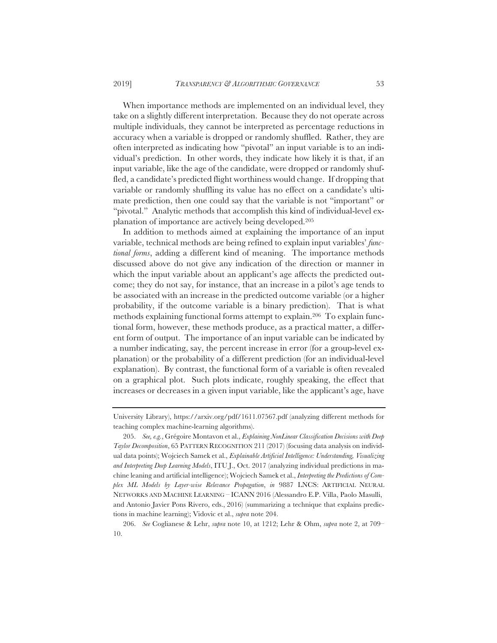When importance methods are implemented on an individual level, they take on a slightly different interpretation. Because they do not operate across multiple individuals, they cannot be interpreted as percentage reductions in accuracy when a variable is dropped or randomly shuffled. Rather, they are often interpreted as indicating how "pivotal" an input variable is to an individual's prediction. In other words, they indicate how likely it is that, if an input variable, like the age of the candidate, were dropped or randomly shuffled, a candidate's predicted flight worthiness would change. If dropping that variable or randomly shuffling its value has no effect on a candidate's ultimate prediction, then one could say that the variable is not "important" or "pivotal." Analytic methods that accomplish this kind of individual-level explanation of importance are actively being developed.205

In addition to methods aimed at explaining the importance of an input variable, technical methods are being refined to explain input variables' *functional forms*, adding a different kind of meaning. The importance methods discussed above do not give any indication of the direction or manner in which the input variable about an applicant's age affects the predicted outcome; they do not say, for instance, that an increase in a pilot's age tends to be associated with an increase in the predicted outcome variable (or a higher probability, if the outcome variable is a binary prediction). That is what methods explaining functional forms attempt to explain.206 To explain functional form, however, these methods produce, as a practical matter, a different form of output. The importance of an input variable can be indicated by a number indicating, say, the percent increase in error (for a group-level explanation) or the probability of a different prediction (for an individual-level explanation). By contrast, the functional form of a variable is often revealed on a graphical plot. Such plots indicate, roughly speaking, the effect that increases or decreases in a given input variable, like the applicant's age, have

University Library), https://arxiv.org/pdf/1611.07567.pdf (analyzing different methods for teaching complex machine-learning algorithms).

<sup>205.</sup> *See, e.g.*, Grégoire Montavon et al., *Explaining NonLinear Classification Decisions with Deep Taylor Decomposition*, 65 PATTERN RECOGNITION 211 (2017) (focusing data analysis on individual data points); Wojciech Samek et al., *Explainable Artificial Intelligence: Understanding, Visualizing and Interpreting Deep Learning Models*, ITU J., Oct. 2017 (analyzing individual predictions in machine leaning and artificial intelligence); Wojciech Samek et al., *Interpreting the Predictions of Complex ML Models by Layer-wise Relevance Propagation*, *in* 9887 LNCS: ARTIFICIAL NEURAL NETWORKS AND MACHINE LEARNING – ICANN 2016 (Alessandro E.P. Villa, Paolo Masulli, and Antonio Javier Pons Rivero, eds., 2016) (summarizing a technique that explains predictions in machine learning); Vidovic et al., *supra* note 204.

<sup>206.</sup> *See* Coglianese & Lehr, *supra* note 10, at 1212; Lehr & Ohm, *supra* note 2, at 709– 10.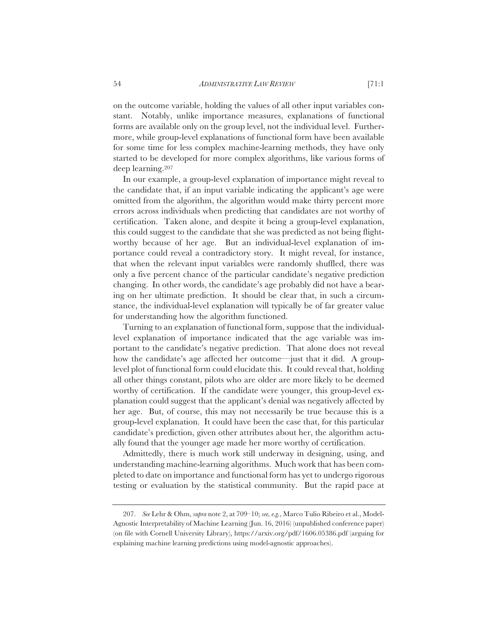on the outcome variable, holding the values of all other input variables constant. Notably, unlike importance measures, explanations of functional forms are available only on the group level, not the individual level. Furthermore, while group-level explanations of functional form have been available for some time for less complex machine-learning methods, they have only started to be developed for more complex algorithms, like various forms of deep learning.207

In our example, a group-level explanation of importance might reveal to the candidate that, if an input variable indicating the applicant's age were omitted from the algorithm, the algorithm would make thirty percent more errors across individuals when predicting that candidates are not worthy of certification. Taken alone, and despite it being a group-level explanation, this could suggest to the candidate that she was predicted as not being flightworthy because of her age. But an individual-level explanation of importance could reveal a contradictory story. It might reveal, for instance, that when the relevant input variables were randomly shuffled, there was only a five percent chance of the particular candidate's negative prediction changing. In other words, the candidate's age probably did not have a bearing on her ultimate prediction. It should be clear that, in such a circumstance, the individual-level explanation will typically be of far greater value for understanding how the algorithm functioned.

Turning to an explanation of functional form, suppose that the individuallevel explanation of importance indicated that the age variable was important to the candidate's negative prediction. That alone does not reveal how the candidate's age affected her outcome—just that it did. A grouplevel plot of functional form could elucidate this. It could reveal that, holding all other things constant, pilots who are older are more likely to be deemed worthy of certification. If the candidate were younger, this group-level explanation could suggest that the applicant's denial was negatively affected by her age. But, of course, this may not necessarily be true because this is a group-level explanation. It could have been the case that, for this particular candidate's prediction, given other attributes about her, the algorithm actually found that the younger age made her more worthy of certification.

Admittedly, there is much work still underway in designing, using, and understanding machine-learning algorithms. Much work that has been completed to date on importance and functional form has yet to undergo rigorous testing or evaluation by the statistical community. But the rapid pace at

<sup>207.</sup> *See* Lehr & Ohm, *supra* note 2, at 709–10; *see, e.g.*, Marco Tulio Ribeiro et al., Model-Agnostic Interpretability of Machine Learning (Jun. 16, 2016) (unpublished conference paper) (on file with Cornell University Library), https://arxiv.org/pdf/1606.05386.pdf (arguing for explaining machine learning predictions using model-agnostic approaches).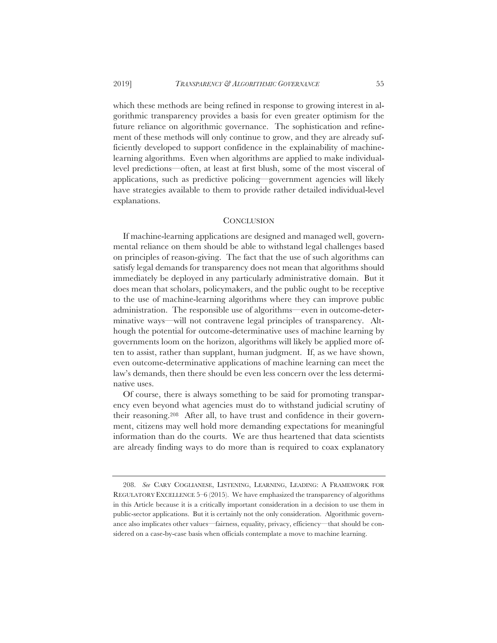#### 2019] *TRANSPARENCY & ALGORITHMIC GOVERNANCE* 55

which these methods are being refined in response to growing interest in algorithmic transparency provides a basis for even greater optimism for the future reliance on algorithmic governance. The sophistication and refinement of these methods will only continue to grow, and they are already sufficiently developed to support confidence in the explainability of machinelearning algorithms. Even when algorithms are applied to make individuallevel predictions—often, at least at first blush, some of the most visceral of applications, such as predictive policing—government agencies will likely have strategies available to them to provide rather detailed individual-level explanations.

#### **CONCLUSION**

If machine-learning applications are designed and managed well, governmental reliance on them should be able to withstand legal challenges based on principles of reason-giving. The fact that the use of such algorithms can satisfy legal demands for transparency does not mean that algorithms should immediately be deployed in any particularly administrative domain. But it does mean that scholars, policymakers, and the public ought to be receptive to the use of machine-learning algorithms where they can improve public administration. The responsible use of algorithms—even in outcome-determinative ways—will not contravene legal principles of transparency. Although the potential for outcome-determinative uses of machine learning by governments loom on the horizon, algorithms will likely be applied more often to assist, rather than supplant, human judgment. If, as we have shown, even outcome-determinative applications of machine learning can meet the law's demands, then there should be even less concern over the less determinative uses.

Of course, there is always something to be said for promoting transparency even beyond what agencies must do to withstand judicial scrutiny of their reasoning.208 After all, to have trust and confidence in their government, citizens may well hold more demanding expectations for meaningful information than do the courts. We are thus heartened that data scientists are already finding ways to do more than is required to coax explanatory

<sup>208.</sup> See CARY COGLIANESE, LISTENING, LEARNING, LEADING: A FRAMEWORK FOR REGULATORY EXCELLENCE 5–6 (2015). We have emphasized the transparency of algorithms in this Article because it is a critically important consideration in a decision to use them in public-sector applications. But it is certainly not the only consideration. Algorithmic governance also implicates other values—fairness, equality, privacy, efficiency—that should be considered on a case-by-case basis when officials contemplate a move to machine learning.